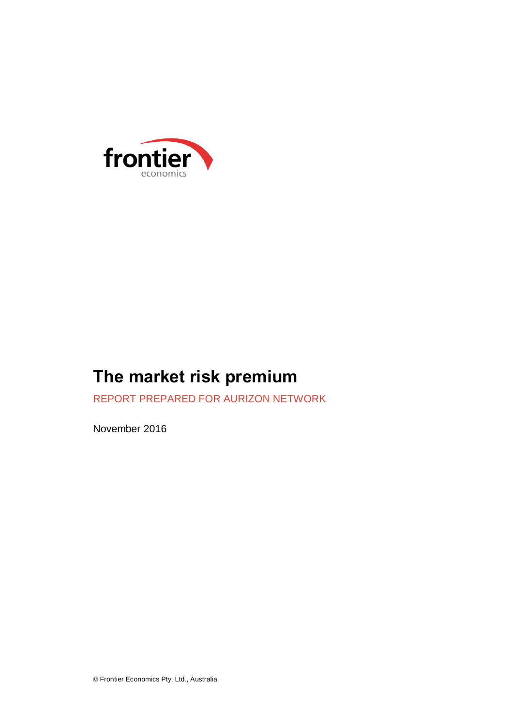

# **The market risk premium**

REPORT PREPARED FOR AURIZON NETWORK

November 2016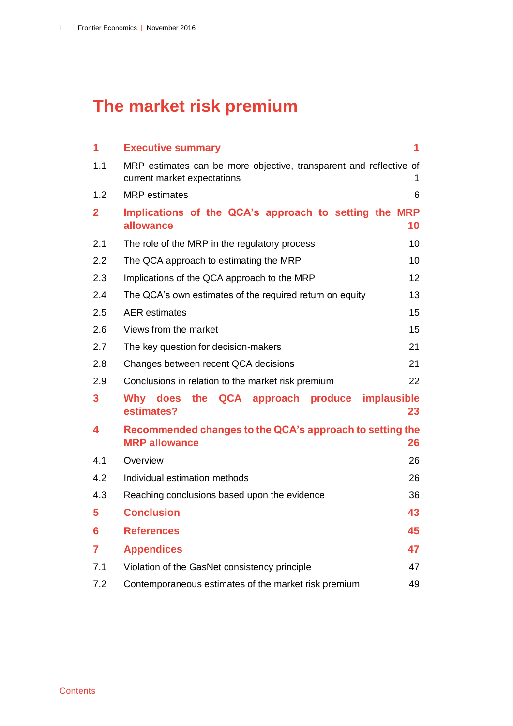# **The market risk premium**

| 1              | <b>Executive summary</b>                                                                          | 1  |
|----------------|---------------------------------------------------------------------------------------------------|----|
| 1.1            | MRP estimates can be more objective, transparent and reflective of<br>current market expectations | 1  |
| 1.2            | <b>MRP</b> estimates                                                                              | 6  |
| $\overline{2}$ | Implications of the QCA's approach to setting the MRP<br>allowance                                | 10 |
| 2.1            | The role of the MRP in the regulatory process                                                     | 10 |
| 2.2            | The QCA approach to estimating the MRP                                                            | 10 |
| 2.3            | Implications of the QCA approach to the MRP                                                       | 12 |
| 2.4            | The QCA's own estimates of the required return on equity                                          | 13 |
| 2.5            | <b>AER</b> estimates                                                                              | 15 |
| 2.6            | Views from the market                                                                             | 15 |
| 2.7            | The key question for decision-makers                                                              | 21 |
| 2.8            | Changes between recent QCA decisions                                                              | 21 |
| 2.9            | Conclusions in relation to the market risk premium                                                | 22 |
| 3              | implausible<br>the QCA approach produce<br>Why does<br>estimates?                                 | 23 |
| 4              | Recommended changes to the QCA's approach to setting the<br><b>MRP allowance</b>                  | 26 |
| 4.1            | Overview                                                                                          | 26 |
| 4.2            | Individual estimation methods                                                                     | 26 |
| 4.3            | Reaching conclusions based upon the evidence                                                      | 36 |
| 5              | <b>Conclusion</b>                                                                                 | 43 |
| 6              | <b>References</b>                                                                                 | 45 |
| 7              | <b>Appendices</b>                                                                                 | 47 |
| 7.1            | Violation of the GasNet consistency principle                                                     | 47 |
| 7.2            | Contemporaneous estimates of the market risk premium                                              | 49 |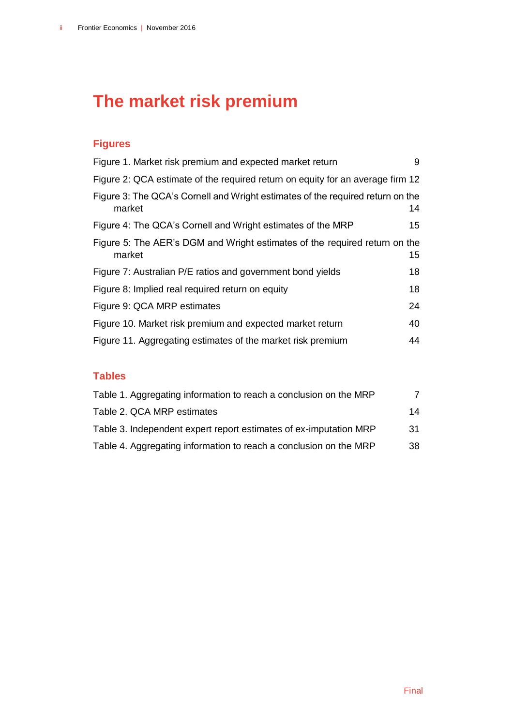# **The market risk premium**

# **Figures**

| Figure 1. Market risk premium and expected market return                                 | 9                |
|------------------------------------------------------------------------------------------|------------------|
| Figure 2: QCA estimate of the required return on equity for an average firm 12           |                  |
| Figure 3: The QCA's Cornell and Wright estimates of the required return on the<br>market | 14               |
| Figure 4: The QCA's Cornell and Wright estimates of the MRP                              | 15 <sup>15</sup> |
| Figure 5: The AER's DGM and Wright estimates of the required return on the<br>market     | 15 <sub>1</sub>  |
| Figure 7: Australian P/E ratios and government bond yields                               | 18               |
| Figure 8: Implied real required return on equity                                         | 18               |
| Figure 9: QCA MRP estimates                                                              | 24               |
| Figure 10. Market risk premium and expected market return                                | 40               |
| Figure 11. Aggregating estimates of the market risk premium                              | 44               |

## **Tables**

| Table 1. Aggregating information to reach a conclusion on the MRP |     |
|-------------------------------------------------------------------|-----|
| Table 2. QCA MRP estimates                                        | 14  |
| Table 3. Independent expert report estimates of ex-imputation MRP | -31 |
| Table 4. Aggregating information to reach a conclusion on the MRP | 38  |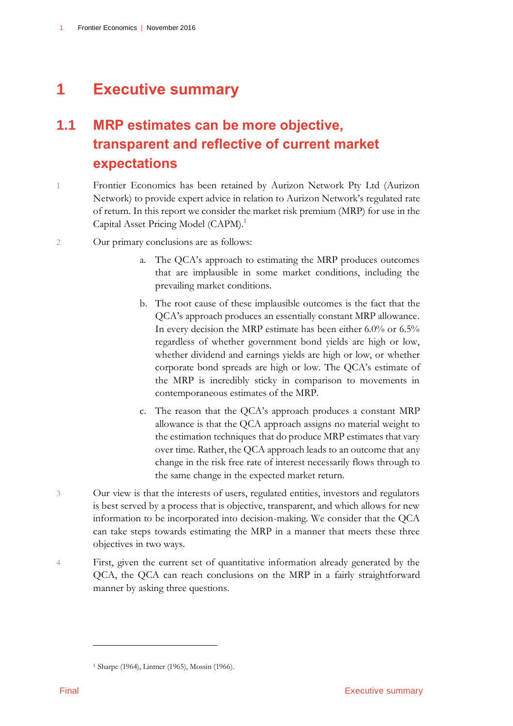# <span id="page-4-0"></span>**1 Executive summary**

# <span id="page-4-1"></span>**1.1 MRP estimates can be more objective, transparent and reflective of current market expectations**

- 1 Frontier Economics has been retained by Aurizon Network Pty Ltd (Aurizon Network) to provide expert advice in relation to Aurizon Network's regulated rate of return. In this report we consider the market risk premium (MRP) for use in the Capital Asset Pricing Model (CAPM).<sup>1</sup>
- 2 Our primary conclusions are as follows:
	- a. The QCA's approach to estimating the MRP produces outcomes that are implausible in some market conditions, including the prevailing market conditions.
	- b. The root cause of these implausible outcomes is the fact that the QCA's approach produces an essentially constant MRP allowance. In every decision the MRP estimate has been either 6.0% or 6.5% regardless of whether government bond yields are high or low, whether dividend and earnings yields are high or low, or whether corporate bond spreads are high or low. The QCA's estimate of the MRP is incredibly sticky in comparison to movements in contemporaneous estimates of the MRP.
	- c. The reason that the QCA's approach produces a constant MRP allowance is that the QCA approach assigns no material weight to the estimation techniques that do produce MRP estimates that vary over time. Rather, the QCA approach leads to an outcome that any change in the risk free rate of interest necessarily flows through to the same change in the expected market return.
- 3 Our view is that the interests of users, regulated entities, investors and regulators is best served by a process that is objective, transparent, and which allows for new information to be incorporated into decision-making. We consider that the QCA can take steps towards estimating the MRP in a manner that meets these three objectives in two ways.
- 4 First, given the current set of quantitative information already generated by the QCA, the QCA can reach conclusions on the MRP in a fairly straightforward manner by asking three questions.

<sup>1</sup> Sharpe (1964), Lintner (1965), Mossin (1966).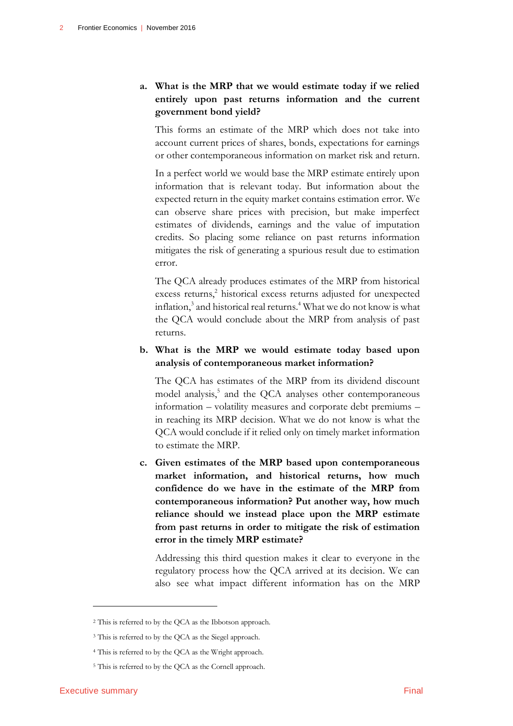### **a. What is the MRP that we would estimate today if we relied entirely upon past returns information and the current government bond yield?**

This forms an estimate of the MRP which does not take into account current prices of shares, bonds, expectations for earnings or other contemporaneous information on market risk and return.

In a perfect world we would base the MRP estimate entirely upon information that is relevant today. But information about the expected return in the equity market contains estimation error. We can observe share prices with precision, but make imperfect estimates of dividends, earnings and the value of imputation credits. So placing some reliance on past returns information mitigates the risk of generating a spurious result due to estimation error.

The QCA already produces estimates of the MRP from historical excess returns,<sup>2</sup> historical excess returns adjusted for unexpected inflation, $3$  and historical real returns.<sup>4</sup> What we do not know is what the QCA would conclude about the MRP from analysis of past returns.

### **b. What is the MRP we would estimate today based upon analysis of contemporaneous market information?**

The QCA has estimates of the MRP from its dividend discount model analysis,<sup>5</sup> and the QCA analyses other contemporaneous information – volatility measures and corporate debt premiums – in reaching its MRP decision. What we do not know is what the QCA would conclude if it relied only on timely market information to estimate the MRP.

**c. Given estimates of the MRP based upon contemporaneous market information, and historical returns, how much confidence do we have in the estimate of the MRP from contemporaneous information? Put another way, how much reliance should we instead place upon the MRP estimate from past returns in order to mitigate the risk of estimation error in the timely MRP estimate?**

Addressing this third question makes it clear to everyone in the regulatory process how the QCA arrived at its decision. We can also see what impact different information has on the MRP

<sup>2</sup> This is referred to by the QCA as the Ibbotson approach.

<sup>&</sup>lt;sup>3</sup> This is referred to by the QCA as the Siegel approach.

<sup>4</sup> This is referred to by the QCA as the Wright approach.

<sup>5</sup> This is referred to by the QCA as the Cornell approach.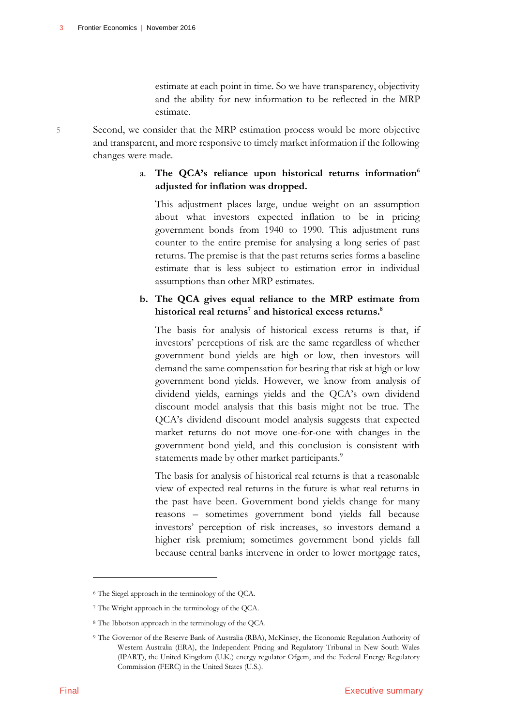estimate at each point in time. So we have transparency, objectivity and the ability for new information to be reflected in the MRP estimate.

5 Second, we consider that the MRP estimation process would be more objective and transparent, and more responsive to timely market information if the following changes were made.

### a. **The QCA's reliance upon historical returns information<sup>6</sup> adjusted for inflation was dropped.**

This adjustment places large, undue weight on an assumption about what investors expected inflation to be in pricing government bonds from 1940 to 1990. This adjustment runs counter to the entire premise for analysing a long series of past returns. The premise is that the past returns series forms a baseline estimate that is less subject to estimation error in individual assumptions than other MRP estimates.

### **b. The QCA gives equal reliance to the MRP estimate from historical real returns<sup>7</sup> and historical excess returns.<sup>8</sup>**

The basis for analysis of historical excess returns is that, if investors' perceptions of risk are the same regardless of whether government bond yields are high or low, then investors will demand the same compensation for bearing that risk at high or low government bond yields. However, we know from analysis of dividend yields, earnings yields and the QCA's own dividend discount model analysis that this basis might not be true. The QCA's dividend discount model analysis suggests that expected market returns do not move one-for-one with changes in the government bond yield, and this conclusion is consistent with statements made by other market participants.<sup>9</sup>

The basis for analysis of historical real returns is that a reasonable view of expected real returns in the future is what real returns in the past have been. Government bond yields change for many reasons – sometimes government bond yields fall because investors' perception of risk increases, so investors demand a higher risk premium; sometimes government bond yields fall because central banks intervene in order to lower mortgage rates,

<sup>6</sup> The Siegel approach in the terminology of the QCA.

<sup>7</sup> The Wright approach in the terminology of the QCA.

<sup>8</sup> The Ibbotson approach in the terminology of the QCA.

<sup>9</sup> The Governor of the Reserve Bank of Australia (RBA), McKinsey, the Economic Regulation Authority of Western Australia (ERA), the Independent Pricing and Regulatory Tribunal in New South Wales (IPART), the United Kingdom (U.K.) energy regulator Ofgem, and the Federal Energy Regulatory Commission (FERC) in the United States (U.S.).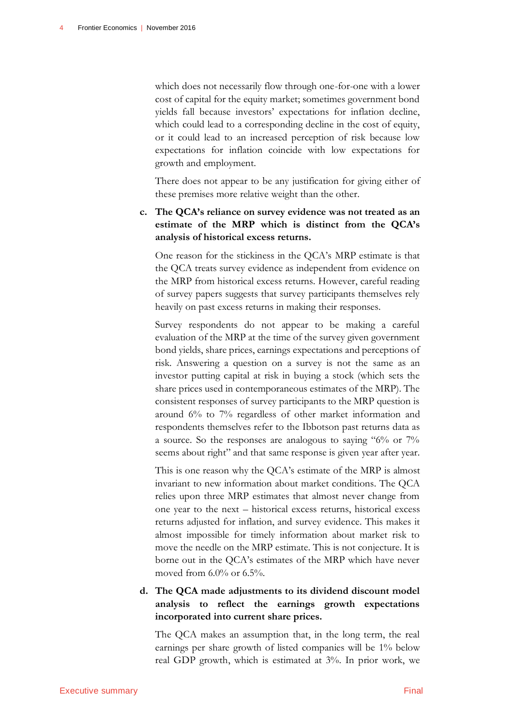which does not necessarily flow through one-for-one with a lower cost of capital for the equity market; sometimes government bond yields fall because investors' expectations for inflation decline, which could lead to a corresponding decline in the cost of equity, or it could lead to an increased perception of risk because low expectations for inflation coincide with low expectations for growth and employment.

There does not appear to be any justification for giving either of these premises more relative weight than the other.

**c. The QCA's reliance on survey evidence was not treated as an estimate of the MRP which is distinct from the QCA's analysis of historical excess returns.**

One reason for the stickiness in the QCA's MRP estimate is that the QCA treats survey evidence as independent from evidence on the MRP from historical excess returns. However, careful reading of survey papers suggests that survey participants themselves rely heavily on past excess returns in making their responses.

Survey respondents do not appear to be making a careful evaluation of the MRP at the time of the survey given government bond yields, share prices, earnings expectations and perceptions of risk. Answering a question on a survey is not the same as an investor putting capital at risk in buying a stock (which sets the share prices used in contemporaneous estimates of the MRP). The consistent responses of survey participants to the MRP question is around 6% to 7% regardless of other market information and respondents themselves refer to the Ibbotson past returns data as a source. So the responses are analogous to saying "6% or 7% seems about right" and that same response is given year after year.

This is one reason why the QCA's estimate of the MRP is almost invariant to new information about market conditions. The QCA relies upon three MRP estimates that almost never change from one year to the next – historical excess returns, historical excess returns adjusted for inflation, and survey evidence. This makes it almost impossible for timely information about market risk to move the needle on the MRP estimate. This is not conjecture. It is borne out in the QCA's estimates of the MRP which have never moved from  $6.0\%$  or  $6.5\%$ .

### **d. The QCA made adjustments to its dividend discount model analysis to reflect the earnings growth expectations incorporated into current share prices.**

The QCA makes an assumption that, in the long term, the real earnings per share growth of listed companies will be 1% below real GDP growth, which is estimated at 3%. In prior work, we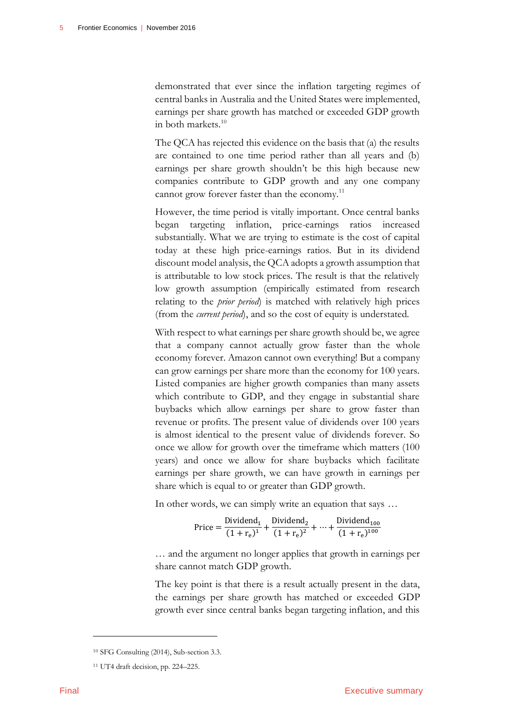demonstrated that ever since the inflation targeting regimes of central banks in Australia and the United States were implemented, earnings per share growth has matched or exceeded GDP growth in both markets.<sup>10</sup>

The QCA has rejected this evidence on the basis that (a) the results are contained to one time period rather than all years and (b) earnings per share growth shouldn't be this high because new companies contribute to GDP growth and any one company cannot grow forever faster than the economy.<sup>11</sup>

However, the time period is vitally important. Once central banks began targeting inflation, price-earnings ratios increased substantially. What we are trying to estimate is the cost of capital today at these high price-earnings ratios. But in its dividend discount model analysis, the QCA adopts a growth assumption that is attributable to low stock prices. The result is that the relatively low growth assumption (empirically estimated from research relating to the *prior period*) is matched with relatively high prices (from the *current period*), and so the cost of equity is understated.

With respect to what earnings per share growth should be, we agree that a company cannot actually grow faster than the whole economy forever. Amazon cannot own everything! But a company can grow earnings per share more than the economy for 100 years. Listed companies are higher growth companies than many assets which contribute to GDP, and they engage in substantial share buybacks which allow earnings per share to grow faster than revenue or profits. The present value of dividends over 100 years is almost identical to the present value of dividends forever. So once we allow for growth over the timeframe which matters (100 years) and once we allow for share buybacks which facilitate earnings per share growth, we can have growth in earnings per share which is equal to or greater than GDP growth.

In other words, we can simply write an equation that says …

$$
Price = \frac{Dividend_1}{(1 + r_e)^1} + \frac{Dividend_2}{(1 + r_e)^2} + \dots + \frac{Dividend_{100}}{(1 + r_e)^{100}}
$$

… and the argument no longer applies that growth in earnings per share cannot match GDP growth.

The key point is that there is a result actually present in the data, the earnings per share growth has matched or exceeded GDP growth ever since central banks began targeting inflation, and this

<sup>10</sup> SFG Consulting (2014), Sub-section 3.3.

<sup>11</sup> UT4 draft decision, pp. 224–225.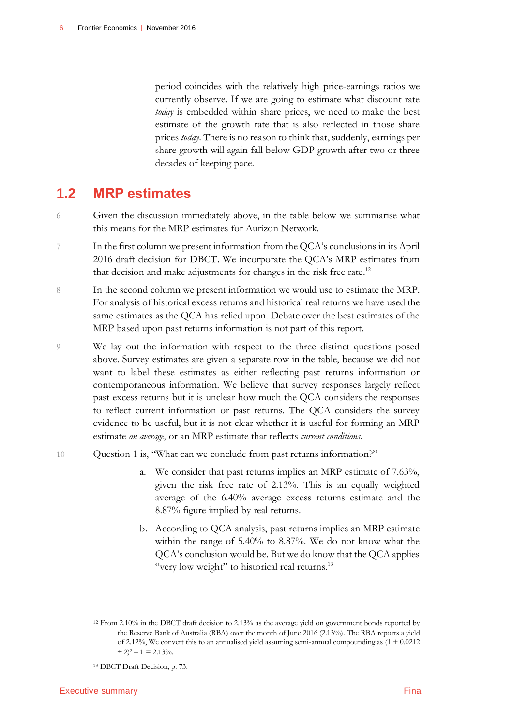period coincides with the relatively high price-earnings ratios we currently observe. If we are going to estimate what discount rate *today* is embedded within share prices, we need to make the best estimate of the growth rate that is also reflected in those share prices *today*. There is no reason to think that, suddenly, earnings per share growth will again fall below GDP growth after two or three decades of keeping pace.

# <span id="page-9-0"></span>**1.2 MRP estimates**

- 6 Given the discussion immediately above, in the table below we summarise what this means for the MRP estimates for Aurizon Network.
- In the first column we present information from the QCA's conclusions in its April 2016 draft decision for DBCT. We incorporate the QCA's MRP estimates from that decision and make adjustments for changes in the risk free rate.<sup>12</sup>
- 8 In the second column we present information we would use to estimate the MRP. For analysis of historical excess returns and historical real returns we have used the same estimates as the QCA has relied upon. Debate over the best estimates of the MRP based upon past returns information is not part of this report.
- 9 We lay out the information with respect to the three distinct questions posed above. Survey estimates are given a separate row in the table, because we did not want to label these estimates as either reflecting past returns information or contemporaneous information. We believe that survey responses largely reflect past excess returns but it is unclear how much the QCA considers the responses to reflect current information or past returns. The QCA considers the survey evidence to be useful, but it is not clear whether it is useful for forming an MRP estimate *on average*, or an MRP estimate that reflects *current conditions*.
- 10 Question 1 is, "What can we conclude from past returns information?"
	- a. We consider that past returns implies an MRP estimate of 7.63%, given the risk free rate of 2.13%. This is an equally weighted average of the 6.40% average excess returns estimate and the 8.87% figure implied by real returns.
	- b. According to QCA analysis, past returns implies an MRP estimate within the range of 5.40% to 8.87%. We do not know what the QCA's conclusion would be. But we do know that the QCA applies "very low weight" to historical real returns.<sup>13</sup>

-

<sup>12</sup> From 2.10% in the DBCT draft decision to 2.13% as the average yield on government bonds reported by the Reserve Bank of Australia (RBA) over the month of June 2016 (2.13%). The RBA reports a yield of 2.12%, We convert this to an annualised yield assuming semi-annual compounding as (1 + 0.0212  $\div$  2)<sup>2</sup> – 1 = 2.13%.

<sup>13</sup> DBCT Draft Decision, p. 73.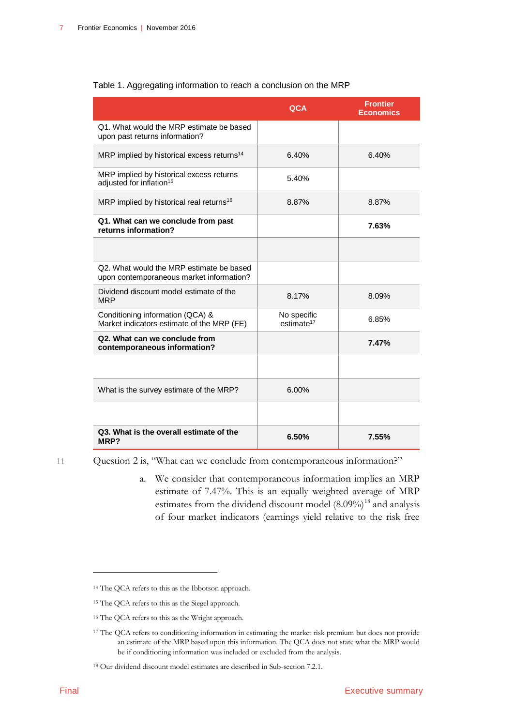|                                                                                      | QCA                                   | <b>Frontier</b><br><b>Economics</b> |
|--------------------------------------------------------------------------------------|---------------------------------------|-------------------------------------|
| Q1. What would the MRP estimate be based<br>upon past returns information?           |                                       |                                     |
| MRP implied by historical excess returns <sup>14</sup>                               | 6.40%                                 | 6.40%                               |
| MRP implied by historical excess returns<br>adjusted for inflation <sup>15</sup>     | 5.40%                                 |                                     |
| MRP implied by historical real returns <sup>16</sup>                                 | 8.87%                                 | 8.87%                               |
| Q1. What can we conclude from past<br>returns information?                           |                                       | 7.63%                               |
|                                                                                      |                                       |                                     |
| Q2. What would the MRP estimate be based<br>upon contemporaneous market information? |                                       |                                     |
| Dividend discount model estimate of the<br><b>MRP</b>                                | 8.17%                                 | 8.09%                               |
| Conditioning information (QCA) &<br>Market indicators estimate of the MRP (FE)       | No specific<br>estimate <sup>17</sup> | 6.85%                               |
| Q2. What can we conclude from<br>contemporaneous information?                        |                                       | 7.47%                               |
|                                                                                      |                                       |                                     |
| What is the survey estimate of the MRP?                                              | 6.00%                                 |                                     |
|                                                                                      |                                       |                                     |
| Q3. What is the overall estimate of the<br>MRP?                                      | 6.50%                                 | 7.55%                               |

### <span id="page-10-0"></span>Table 1. Aggregating information to reach a conclusion on the MRP

11 Question 2 is, "What can we conclude from contemporaneous information?"

a. We consider that contemporaneous information implies an MRP estimate of 7.47%. This is an equally weighted average of MRP estimates from the dividend discount model  $(8.09\%)$ <sup>18</sup> and analysis of four market indicators (earnings yield relative to the risk free

<sup>16</sup> The QCA refers to this as the Wright approach.

<sup>14</sup> The QCA refers to this as the Ibbotson approach.

<sup>15</sup> The QCA refers to this as the Siegel approach.

<sup>17</sup> The QCA refers to conditioning information in estimating the market risk premium but does not provide an estimate of the MRP based upon this information. The QCA does not state what the MRP would be if conditioning information was included or excluded from the analysis.

<sup>18</sup> Our dividend discount model estimates are described in Sub-section 7.2.1.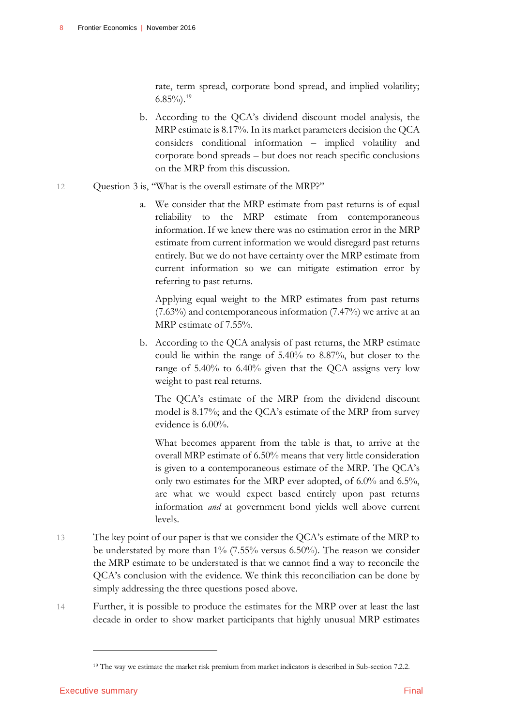rate, term spread, corporate bond spread, and implied volatility;  $6.85\%$ ).<sup>19</sup>

- b. According to the QCA's dividend discount model analysis, the MRP estimate is 8.17%. In its market parameters decision the QCA considers conditional information – implied volatility and corporate bond spreads – but does not reach specific conclusions on the MRP from this discussion.
- 12 Question 3 is, "What is the overall estimate of the MRP?"
	- a. We consider that the MRP estimate from past returns is of equal reliability to the MRP estimate from contemporaneous information. If we knew there was no estimation error in the MRP estimate from current information we would disregard past returns entirely. But we do not have certainty over the MRP estimate from current information so we can mitigate estimation error by referring to past returns.

Applying equal weight to the MRP estimates from past returns (7.63%) and contemporaneous information (7.47%) we arrive at an MRP estimate of 7.55%.

b. According to the QCA analysis of past returns, the MRP estimate could lie within the range of 5.40% to 8.87%, but closer to the range of 5.40% to 6.40% given that the QCA assigns very low weight to past real returns.

The QCA's estimate of the MRP from the dividend discount model is 8.17%; and the QCA's estimate of the MRP from survey evidence is 6.00%.

What becomes apparent from the table is that, to arrive at the overall MRP estimate of 6.50% means that very little consideration is given to a contemporaneous estimate of the MRP. The QCA's only two estimates for the MRP ever adopted, of 6.0% and 6.5%, are what we would expect based entirely upon past returns information *and* at government bond yields well above current levels.

- 13 The key point of our paper is that we consider the QCA's estimate of the MRP to be understated by more than 1% (7.55% versus 6.50%). The reason we consider the MRP estimate to be understated is that we cannot find a way to reconcile the QCA's conclusion with the evidence. We think this reconciliation can be done by simply addressing the three questions posed above.
- 14 Further, it is possible to produce the estimates for the MRP over at least the last decade in order to show market participants that highly unusual MRP estimates

<sup>19</sup> The way we estimate the market risk premium from market indicators is described in Sub-section 7.2.2.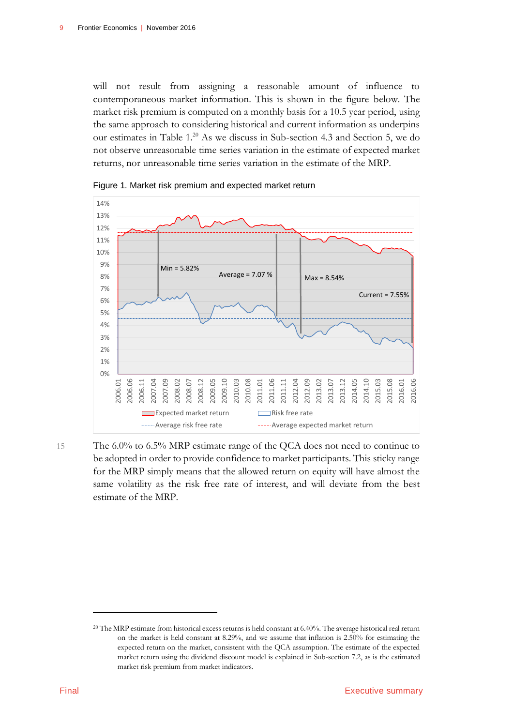will not result from assigning a reasonable amount of influence to contemporaneous market information. This is shown in the figure below. The market risk premium is computed on a monthly basis for a 10.5 year period, using the same approach to considering historical and current information as underpins our estimates in Table 1. <sup>20</sup> As we discuss in Sub-section 4.3 and Section 5, we do not observe unreasonable time series variation in the estimate of expected market returns, nor unreasonable time series variation in the estimate of the MRP.



<span id="page-12-0"></span>Figure 1. Market risk premium and expected market return

15 The 6.0% to 6.5% MRP estimate range of the QCA does not need to continue to be adopted in order to provide confidence to market participants. This sticky range for the MRP simply means that the allowed return on equity will have almost the same volatility as the risk free rate of interest, and will deviate from the best estimate of the MRP.

<sup>&</sup>lt;sup>20</sup> The MRP estimate from historical excess returns is held constant at 6.40%. The average historical real return on the market is held constant at 8.29%, and we assume that inflation is 2.50% for estimating the expected return on the market, consistent with the QCA assumption. The estimate of the expected market return using the dividend discount model is explained in Sub-section 7.2, as is the estimated market risk premium from market indicators.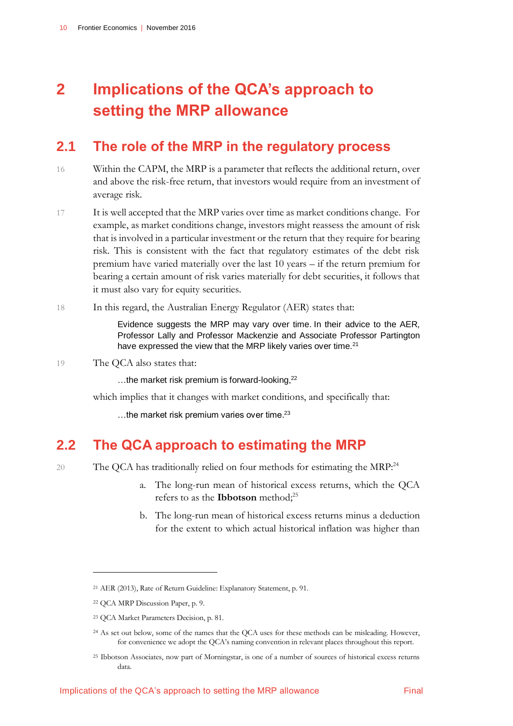# <span id="page-13-0"></span>**2 Implications of the QCA's approach to setting the MRP allowance**

# <span id="page-13-1"></span>**2.1 The role of the MRP in the regulatory process**

- 16 Within the CAPM, the MRP is a parameter that reflects the additional return, over and above the risk-free return, that investors would require from an investment of average risk.
- 17 It is well accepted that the MRP varies over time as market conditions change. For example, as market conditions change, investors might reassess the amount of risk that is involved in a particular investment or the return that they require for bearing risk. This is consistent with the fact that regulatory estimates of the debt risk premium have varied materially over the last 10 years – if the return premium for bearing a certain amount of risk varies materially for debt securities, it follows that it must also vary for equity securities.
- 18 In this regard, the Australian Energy Regulator (AER) states that:

Evidence suggests the MRP may vary over time. In their advice to the AER, Professor Lally and Professor Mackenzie and Associate Professor Partington have expressed the view that the MRP likely varies over time.<sup>21</sup>

19 The QCA also states that:

...the market risk premium is forward-looking, $^{22}$ 

which implies that it changes with market conditions, and specifically that:

<span id="page-13-2"></span>...the market risk premium varies over time.<sup>23</sup>

## **2.2 The QCA approach to estimating the MRP**

20 The QCA has traditionally relied on four methods for estimating the MRP.<sup>24</sup>

- a. The long-run mean of historical excess returns, which the QCA refers to as the **Ibbotson** method; 25
- b. The long-run mean of historical excess returns minus a deduction for the extent to which actual historical inflation was higher than

<sup>21</sup> AER (2013), Rate of Return Guideline: Explanatory Statement, p. 91.

<sup>22</sup> QCA MRP Discussion Paper, p. 9.

<sup>23</sup> QCA Market Parameters Decision, p. 81.

<sup>24</sup> As set out below, some of the names that the QCA uses for these methods can be misleading. However, for convenience we adopt the QCA's naming convention in relevant places throughout this report.

<sup>25</sup> Ibbotson Associates, now part of Morningstar, is one of a number of sources of historical excess returns data.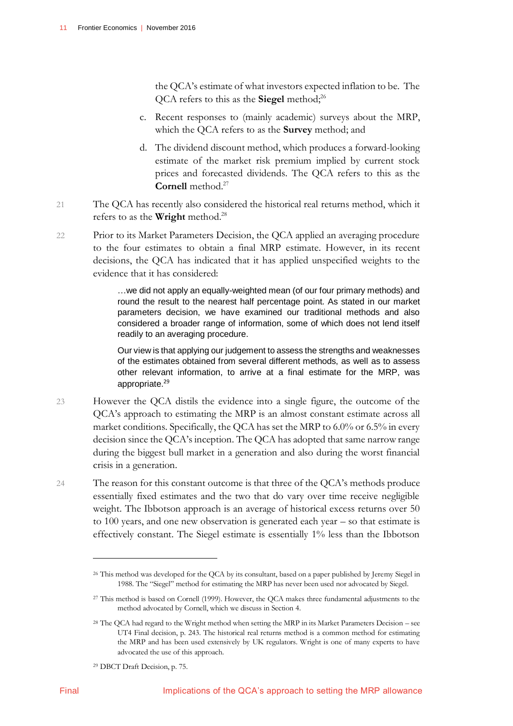the QCA's estimate of what investors expected inflation to be. The QCA refers to this as the **Siegel** method; 26

- c. Recent responses to (mainly academic) surveys about the MRP, which the QCA refers to as the **Survey** method; and
- d. The dividend discount method, which produces a forward-looking estimate of the market risk premium implied by current stock prices and forecasted dividends. The QCA refers to this as the **Cornell** method.<sup>27</sup>
- 21 The QCA has recently also considered the historical real returns method, which it refers to as the **Wright** method.<sup>28</sup>
- 22 Prior to its Market Parameters Decision, the QCA applied an averaging procedure to the four estimates to obtain a final MRP estimate. However, in its recent decisions, the QCA has indicated that it has applied unspecified weights to the evidence that it has considered:

…we did not apply an equally-weighted mean (of our four primary methods) and round the result to the nearest half percentage point. As stated in our market parameters decision, we have examined our traditional methods and also considered a broader range of information, some of which does not lend itself readily to an averaging procedure.

Our view is that applying our judgement to assess the strengths and weaknesses of the estimates obtained from several different methods, as well as to assess other relevant information, to arrive at a final estimate for the MRP, was appropriate.<sup>29</sup>

- 23 However the QCA distils the evidence into a single figure, the outcome of the QCA's approach to estimating the MRP is an almost constant estimate across all market conditions. Specifically, the QCA has set the MRP to 6.0% or 6.5% in every decision since the QCA's inception. The QCA has adopted that same narrow range during the biggest bull market in a generation and also during the worst financial crisis in a generation.
- 24 The reason for this constant outcome is that three of the QCA's methods produce essentially fixed estimates and the two that do vary over time receive negligible weight. The Ibbotson approach is an average of historical excess returns over 50 to 100 years, and one new observation is generated each year – so that estimate is effectively constant. The Siegel estimate is essentially 1% less than the Ibbotson

<sup>26</sup> This method was developed for the QCA by its consultant, based on a paper published by Jeremy Siegel in 1988. The "Siegel" method for estimating the MRP has never been used nor advocated by Siegel.

<sup>27</sup> This method is based on Cornell (1999). However, the QCA makes three fundamental adjustments to the method advocated by Cornell, which we discuss in Section 4.

<sup>28</sup> The QCA had regard to the Wright method when setting the MRP in its Market Parameters Decision – see UT4 Final decision, p. 243. The historical real returns method is a common method for estimating the MRP and has been used extensively by UK regulators. Wright is one of many experts to have advocated the use of this approach.

<sup>29</sup> DBCT Draft Decision, p. 75.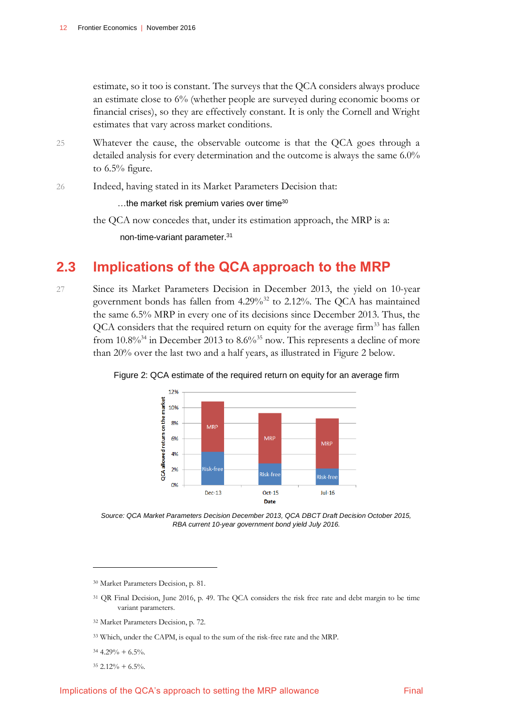estimate, so it too is constant. The surveys that the QCA considers always produce an estimate close to 6% (whether people are surveyed during economic booms or financial crises), so they are effectively constant. It is only the Cornell and Wright estimates that vary across market conditions.

25 Whatever the cause, the observable outcome is that the QCA goes through a detailed analysis for every determination and the outcome is always the same 6.0% to 6.5% figure.

26 Indeed, having stated in its Market Parameters Decision that:

 $...$ the market risk premium varies over time<sup>30</sup>

the QCA now concedes that, under its estimation approach, the MRP is a:

<span id="page-15-0"></span>non-time-variant parameter. 31

## **2.3 Implications of the QCA approach to the MRP**

27 Since its Market Parameters Decision in December 2013, the yield on 10-year government bonds has fallen from 4.29%<sup>32</sup> to 2.12%. The QCA has maintained the same 6.5% MRP in every one of its decisions since December 2013. Thus, the QCA considers that the required return on equity for the average firm<sup>33</sup> has fallen from  $10.8\%$ <sup>34</sup> in December 2013 to  $8.6\%$ <sup>35</sup> now. This represents a decline of more than 20% over the last two and a half years, as illustrated in Figure 2 below.



<span id="page-15-1"></span>Figure 2: QCA estimate of the required return on equity for an average firm

*Source: QCA Market Parameters Decision December 2013, QCA DBCT Draft Decision October 2015, RBA current 10-year government bond yield July 2016.*

<sup>30</sup> Market Parameters Decision, p. 81.

- <sup>31</sup> QR Final Decision, June 2016, p. 49. The QCA considers the risk free rate and debt margin to be time variant parameters.
- <sup>32</sup> Market Parameters Decision, p. 72.
- <sup>33</sup> Which, under the CAPM, is equal to the sum of the risk-free rate and the MRP.
- $34\ 4.29\% + 6.5\%$

 $\overline{a}$ 

 $35\ 2.12\% + 6.5\%$ .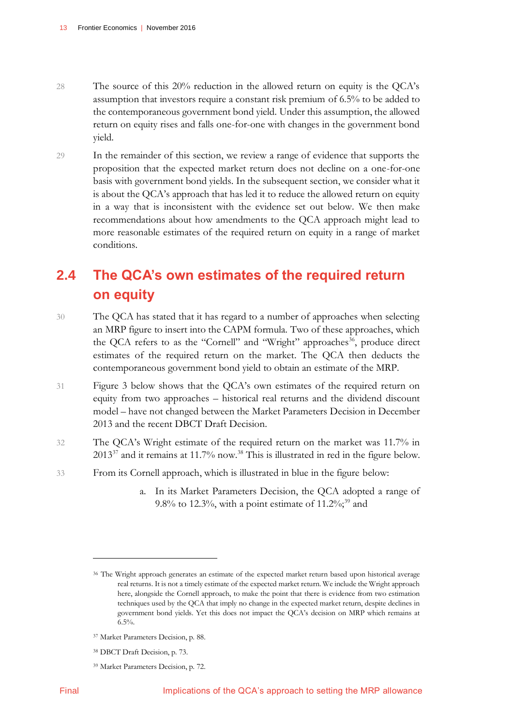- 28 The source of this 20% reduction in the allowed return on equity is the QCA's assumption that investors require a constant risk premium of 6.5% to be added to the contemporaneous government bond yield. Under this assumption, the allowed return on equity rises and falls one-for-one with changes in the government bond yield.
- 29 In the remainder of this section, we review a range of evidence that supports the proposition that the expected market return does not decline on a one-for-one basis with government bond yields. In the subsequent section, we consider what it is about the QCA's approach that has led it to reduce the allowed return on equity in a way that is inconsistent with the evidence set out below. We then make recommendations about how amendments to the QCA approach might lead to more reasonable estimates of the required return on equity in a range of market conditions.

# <span id="page-16-0"></span>**2.4 The QCA's own estimates of the required return on equity**

- 30 The QCA has stated that it has regard to a number of approaches when selecting an MRP figure to insert into the CAPM formula. Two of these approaches, which the QCA refers to as the "Cornell" and "Wright" approaches<sup>36</sup>, produce direct estimates of the required return on the market. The QCA then deducts the contemporaneous government bond yield to obtain an estimate of the MRP.
- 31 Figure 3 below shows that the QCA's own estimates of the required return on equity from two approaches – historical real returns and the dividend discount model – have not changed between the Market Parameters Decision in December 2013 and the recent DBCT Draft Decision.
- 32 The QCA's Wright estimate of the required return on the market was 11.7% in  $2013^{37}$  and it remains at 11.7% now.<sup>38</sup> This is illustrated in red in the figure below.
- 33 From its Cornell approach, which is illustrated in blue in the figure below:
	- a. In its Market Parameters Decision, the QCA adopted a range of 9.8% to 12.3%, with a point estimate of  $11.2\%$ ;<sup>39</sup> and

- <sup>38</sup> DBCT Draft Decision, p. 73.
- <sup>39</sup> Market Parameters Decision, p. 72.

<sup>36</sup> The Wright approach generates an estimate of the expected market return based upon historical average real returns. It is not a timely estimate of the expected market return. We include the Wright approach here, alongside the Cornell approach, to make the point that there is evidence from two estimation techniques used by the QCA that imply no change in the expected market return, despite declines in government bond yields. Yet this does not impact the QCA's decision on MRP which remains at  $6.5%$ 

<sup>37</sup> Market Parameters Decision, p. 88.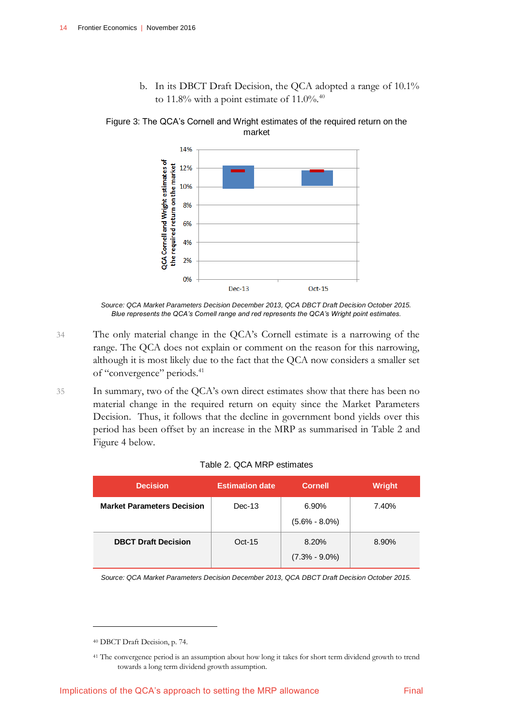b. In its DBCT Draft Decision, the QCA adopted a range of 10.1% to 11.8% with a point estimate of 11.0%. $40$ 

<span id="page-17-0"></span>Figure 3: The QCA's Cornell and Wright estimates of the required return on the market



*Source: QCA Market Parameters Decision December 2013, QCA DBCT Draft Decision October 2015. Blue represents the QCA's Cornell range and red represents the QCA's Wright point estimates.*

- 34 The only material change in the QCA's Cornell estimate is a narrowing of the range. The QCA does not explain or comment on the reason for this narrowing, although it is most likely due to the fact that the QCA now considers a smaller set of "convergence" periods.<sup>41</sup>
- 35 In summary, two of the QCA's own direct estimates show that there has been no material change in the required return on equity since the Market Parameters Decision. Thus, it follows that the decline in government bond yields over this period has been offset by an increase in the MRP as summarised in Table 2 and Figure 4 below.

<span id="page-17-1"></span>

| <b>Decision</b>                   | <b>Estimation date</b> | <b>Cornell</b>             | Wright |
|-----------------------------------|------------------------|----------------------------|--------|
| <b>Market Parameters Decision</b> | $Dec-13$               | 6.90%<br>$(5.6\% - 8.0\%)$ | 7.40%  |
| <b>DBCT Draft Decision</b>        | $Oct-15$               | 8.20%<br>$(7.3\% - 9.0\%)$ | 8.90%  |

#### Table 2. QCA MRP estimates

*Source: QCA Market Parameters Decision December 2013, QCA DBCT Draft Decision October 2015.*

<sup>40</sup> DBCT Draft Decision, p. 74.

<sup>41</sup> The convergence period is an assumption about how long it takes for short term dividend growth to trend towards a long term dividend growth assumption.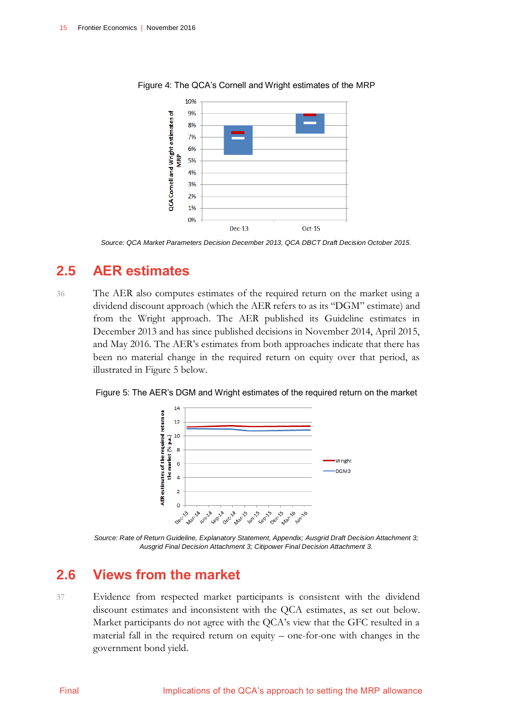

<span id="page-18-2"></span>Figure 4: The QCA's Cornell and Wright estimates of the MRP

# **2.5 AER estimates**

36 The AER also computes estimates of the required return on the market using a dividend discount approach (which the AER refers to as its "DGM" estimate) and from the Wright approach. The AER published its Guideline estimates in December 2013 and has since published decisions in November 2014, April 2015, and May 2016. The AER's estimates from both approaches indicate that there has been no material change in the required return on equity over that period, as illustrated in Figure 5 below.

<span id="page-18-3"></span>Figure 5: The AER's DGM and Wright estimates of the required return on the market



<span id="page-18-1"></span>*Source: Rate of Return Guideline, Explanatory Statement, Appendix; Ausgrid Draft Decision Attachment 3; Ausgrid Final Decision Attachment 3; Citipower Final Decision Attachment 3.*

# **2.6 Views from the market**

37 Evidence from respected market participants is consistent with the dividend discount estimates and inconsistent with the QCA estimates, as set out below. Market participants do not agree with the QCA's view that the GFC resulted in a material fall in the required return on equity – one-for-one with changes in the government bond yield.

<span id="page-18-0"></span>*Source: QCA Market Parameters Decision December 2013, QCA DBCT Draft Decision October 2015.*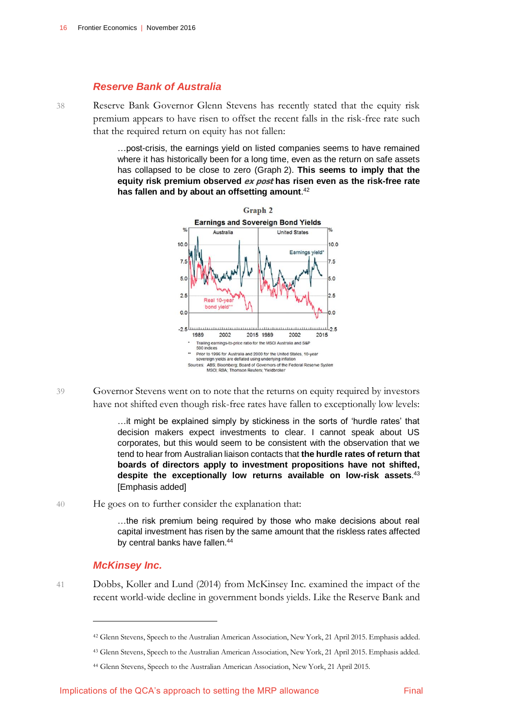#### *Reserve Bank of Australia*

38 Reserve Bank Governor Glenn Stevens has recently stated that the equity risk premium appears to have risen to offset the recent falls in the risk-free rate such that the required return on equity has not fallen:

> …post-crisis, the earnings yield on listed companies seems to have remained where it has historically been for a long time, even as the return on safe assets has collapsed to be close to zero (Graph 2). **This seems to imply that the equity risk premium observed ex post has risen even as the risk-free rate has fallen and by about an offsetting amount**. 42



39 Governor Stevens went on to note that the returns on equity required by investors have not shifted even though risk-free rates have fallen to exceptionally low levels:

> …it might be explained simply by stickiness in the sorts of 'hurdle rates' that decision makers expect investments to clear. I cannot speak about US corporates, but this would seem to be consistent with the observation that we tend to hear from Australian liaison contacts that **the hurdle rates of return that boards of directors apply to investment propositions have not shifted, despite the exceptionally low returns available on low-risk assets**. 43 [Emphasis added]

40 He goes on to further consider the explanation that:

…the risk premium being required by those who make decisions about real capital investment has risen by the same amount that the riskless rates affected by central banks have fallen.<sup>44</sup>

#### *McKinsey Inc.*

 $\overline{a}$ 

41 Dobbs, Koller and Lund (2014) from McKinsey Inc. examined the impact of the recent world-wide decline in government bonds yields. Like the Reserve Bank and

<sup>43</sup> Glenn Stevens, Speech to the Australian American Association, New York, 21 April 2015. Emphasis added.

<sup>42</sup> Glenn Stevens, Speech to the Australian American Association, New York, 21 April 2015. Emphasis added.

<sup>44</sup> Glenn Stevens, Speech to the Australian American Association, New York, 21 April 2015.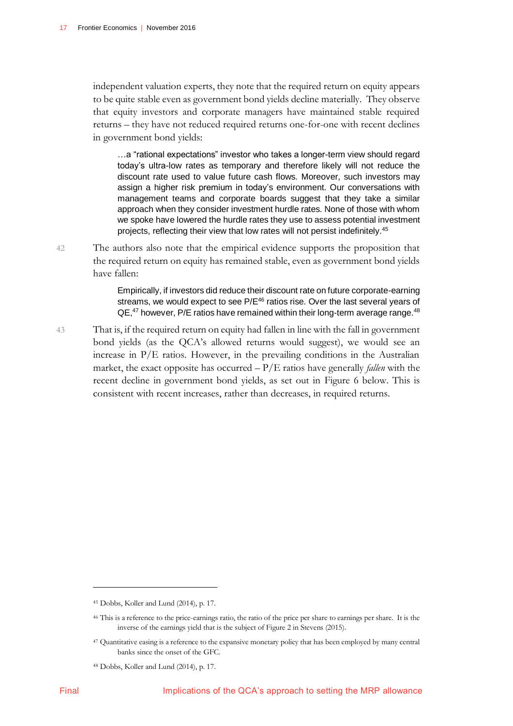independent valuation experts, they note that the required return on equity appears to be quite stable even as government bond yields decline materially. They observe that equity investors and corporate managers have maintained stable required returns – they have not reduced required returns one-for-one with recent declines in government bond yields:

…a "rational expectations" investor who takes a longer-term view should regard today's ultra-low rates as temporary and therefore likely will not reduce the discount rate used to value future cash flows. Moreover, such investors may assign a higher risk premium in today's environment. Our conversations with management teams and corporate boards suggest that they take a similar approach when they consider investment hurdle rates. None of those with whom we spoke have lowered the hurdle rates they use to assess potential investment projects, reflecting their view that low rates will not persist indefinitely.<sup>45</sup>

42 The authors also note that the empirical evidence supports the proposition that the required return on equity has remained stable, even as government bond yields have fallen:

> Empirically, if investors did reduce their discount rate on future corporate-earning streams, we would expect to see P/E<sup>46</sup> ratios rise. Over the last several years of QE,<sup>47</sup> however, P/E ratios have remained within their long-term average range.<sup>48</sup>

43 That is, if the required return on equity had fallen in line with the fall in government bond yields (as the QCA's allowed returns would suggest), we would see an increase in P/E ratios. However, in the prevailing conditions in the Australian market, the exact opposite has occurred – P/E ratios have generally *fallen* with the recent decline in government bond yields, as set out in Figure 6 below. This is consistent with recent increases, rather than decreases, in required returns.

<sup>45</sup> Dobbs, Koller and Lund (2014), p. 17.

<sup>46</sup> This is a reference to the price-earnings ratio, the ratio of the price per share to earnings per share. It is the inverse of the earnings yield that is the subject of Figure 2 in Stevens (2015).

<sup>47</sup> Quantitative easing is a reference to the expansive monetary policy that has been employed by many central banks since the onset of the GFC.

<sup>48</sup> Dobbs, Koller and Lund (2014), p. 17.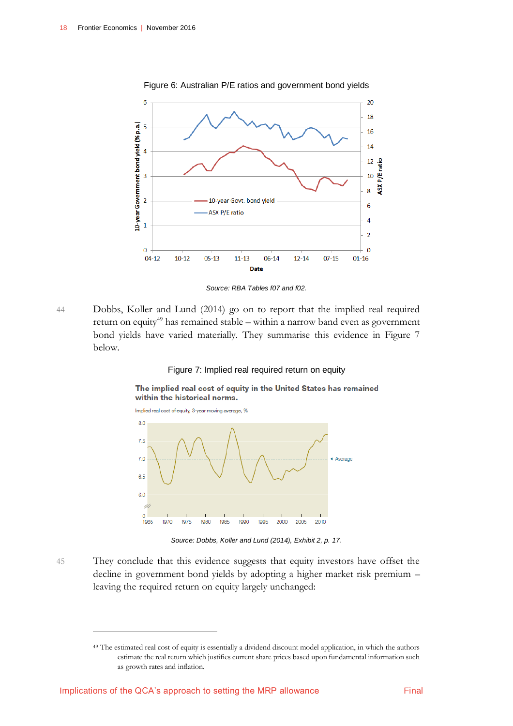<span id="page-21-0"></span>

Figure 6: Australian P/E ratios and government bond yields

*Source: RBA Tables f07 and f02.*

44 Dobbs, Koller and Lund (2014) go on to report that the implied real required return on equity<sup>49</sup> has remained stable – within a narrow band even as government bond yields have varied materially. They summarise this evidence in Figure 7 below.

#### Figure 7: Implied real required return on equity

<span id="page-21-1"></span>The implied real cost of equity in the United States has remained within the historical norms.



*Source: Dobbs, Koller and Lund (2014), Exhibit 2, p. 17.*

45 They conclude that this evidence suggests that equity investors have offset the decline in government bond yields by adopting a higher market risk premium – leaving the required return on equity largely unchanged:

<sup>49</sup> The estimated real cost of equity is essentially a dividend discount model application, in which the authors estimate the real return which justifies current share prices based upon fundamental information such as growth rates and inflation.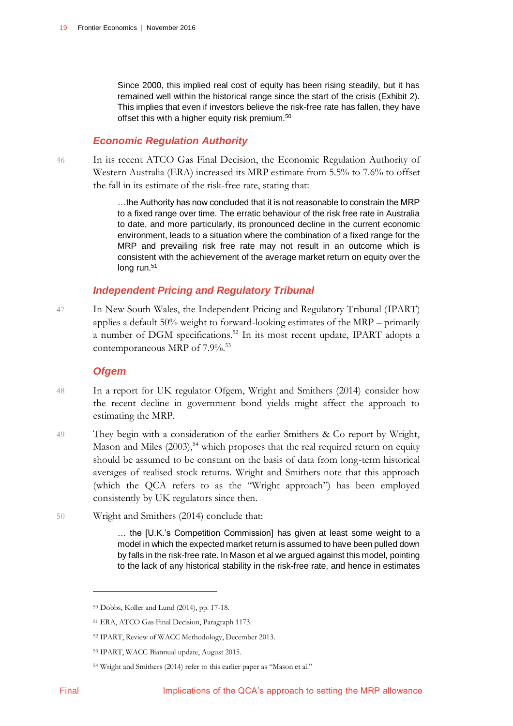Since 2000, this implied real cost of equity has been rising steadily, but it has remained well within the historical range since the start of the crisis (Exhibit 2). This implies that even if investors believe the risk-free rate has fallen, they have offset this with a higher equity risk premium.<sup>50</sup>

### *Economic Regulation Authority*

46 In its recent ATCO Gas Final Decision, the Economic Regulation Authority of Western Australia (ERA) increased its MRP estimate from 5.5% to 7.6% to offset the fall in its estimate of the risk-free rate, stating that:

> …the Authority has now concluded that it is not reasonable to constrain the MRP to a fixed range over time. The erratic behaviour of the risk free rate in Australia to date, and more particularly, its pronounced decline in the current economic environment, leads to a situation where the combination of a fixed range for the MRP and prevailing risk free rate may not result in an outcome which is consistent with the achievement of the average market return on equity over the long run.<sup>51</sup>

### *Independent Pricing and Regulatory Tribunal*

47 In New South Wales, the Independent Pricing and Regulatory Tribunal (IPART) applies a default 50% weight to forward-looking estimates of the MRP – primarily a number of DGM specifications.<sup>52</sup> In its most recent update, IPART adopts a contemporaneous MRP of 7.9%.<sup>53</sup>

### *Ofgem*

- 48 In a report for UK regulator Ofgem, Wright and Smithers (2014) consider how the recent decline in government bond yields might affect the approach to estimating the MRP.
- 49 They begin with a consideration of the earlier Smithers & Co report by Wright, Mason and Miles  $(2003)$ <sup>54</sup> which proposes that the real required return on equity should be assumed to be constant on the basis of data from long-term historical averages of realised stock returns. Wright and Smithers note that this approach (which the QCA refers to as the "Wright approach") has been employed consistently by UK regulators since then.
- 50 Wright and Smithers (2014) conclude that:

… the [U.K.'s Competition Commission] has given at least some weight to a model in which the expected market return is assumed to have been pulled down by falls in the risk-free rate. In Mason et al we argued against this model, pointing to the lack of any historical stability in the risk-free rate, and hence in estimates

<sup>50</sup> Dobbs, Koller and Lund (2014), pp. 17-18.

<sup>51</sup> ERA, ATCO Gas Final Decision, Paragraph 1173.

<sup>52</sup> IPART, Review of WACC Methodology, December 2013.

<sup>53</sup> IPART, WACC Biannual update, August 2015.

<sup>54</sup> Wright and Smithers (2014) refer to this earlier paper as "Mason et al."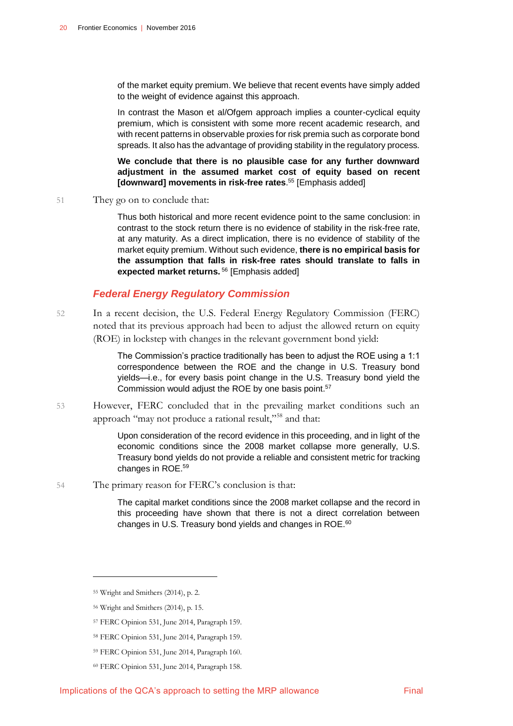of the market equity premium. We believe that recent events have simply added to the weight of evidence against this approach.

In contrast the Mason et al/Ofgem approach implies a counter-cyclical equity premium, which is consistent with some more recent academic research, and with recent patterns in observable proxies for risk premia such as corporate bond spreads. It also has the advantage of providing stability in the regulatory process.

**We conclude that there is no plausible case for any further downward adjustment in the assumed market cost of equity based on recent [downward] movements in risk-free rates**. <sup>55</sup> [Emphasis added]

51 They go on to conclude that:

Thus both historical and more recent evidence point to the same conclusion: in contrast to the stock return there is no evidence of stability in the risk-free rate, at any maturity. As a direct implication, there is no evidence of stability of the market equity premium. Without such evidence, **there is no empirical basis for the assumption that falls in risk-free rates should translate to falls in expected market returns.** <sup>56</sup> [Emphasis added]

#### *Federal Energy Regulatory Commission*

52 In a recent decision, the U.S. Federal Energy Regulatory Commission (FERC) noted that its previous approach had been to adjust the allowed return on equity (ROE) in lockstep with changes in the relevant government bond yield:

> The Commission's practice traditionally has been to adjust the ROE using a 1:1 correspondence between the ROE and the change in U.S. Treasury bond yields—i.e., for every basis point change in the U.S. Treasury bond yield the Commission would adjust the ROE by one basis point.<sup>57</sup>

53 However, FERC concluded that in the prevailing market conditions such an approach "may not produce a rational result,"<sup>58</sup> and that:

> Upon consideration of the record evidence in this proceeding, and in light of the economic conditions since the 2008 market collapse more generally, U.S. Treasury bond yields do not provide a reliable and consistent metric for tracking changes in ROE. 59

54 The primary reason for FERC's conclusion is that:

The capital market conditions since the 2008 market collapse and the record in this proceeding have shown that there is not a direct correlation between changes in U.S. Treasury bond yields and changes in ROE.<sup>60</sup>

-

<sup>55</sup> Wright and Smithers (2014), p. 2.

<sup>56</sup> Wright and Smithers (2014), p. 15.

<sup>57</sup> FERC Opinion 531, June 2014, Paragraph 159.

<sup>58</sup> FERC Opinion 531, June 2014, Paragraph 159.

<sup>59</sup> FERC Opinion 531, June 2014, Paragraph 160.

<sup>60</sup> FERC Opinion 531, June 2014, Paragraph 158.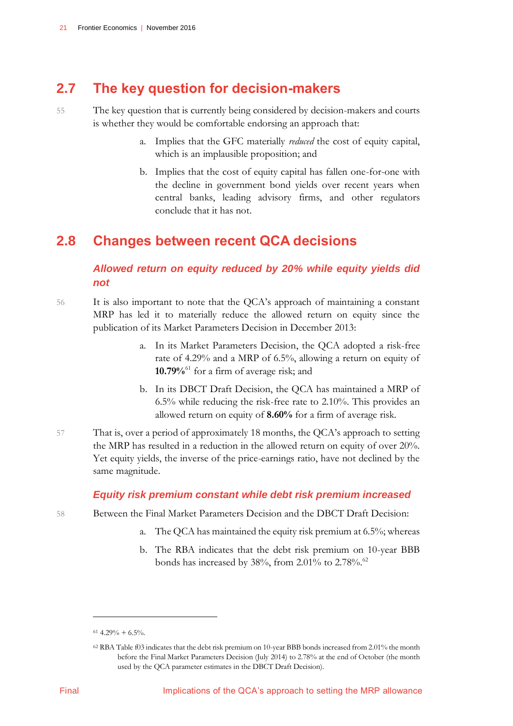# <span id="page-24-0"></span>**2.7 The key question for decision-makers**

- 55 The key question that is currently being considered by decision-makers and courts is whether they would be comfortable endorsing an approach that:
	- a. Implies that the GFC materially *reduced* the cost of equity capital, which is an implausible proposition; and
	- b. Implies that the cost of equity capital has fallen one-for-one with the decline in government bond yields over recent years when central banks, leading advisory firms, and other regulators conclude that it has not.

# <span id="page-24-1"></span>**2.8 Changes between recent QCA decisions**

## *Allowed return on equity reduced by 20% while equity yields did not*

- 56 It is also important to note that the QCA's approach of maintaining a constant MRP has led it to materially reduce the allowed return on equity since the publication of its Market Parameters Decision in December 2013:
	- a. In its Market Parameters Decision, the QCA adopted a risk-free rate of 4.29% and a MRP of 6.5%, allowing a return on equity of **10.79%**<sup>61</sup> for a firm of average risk; and
	- b. In its DBCT Draft Decision, the QCA has maintained a MRP of 6.5% while reducing the risk-free rate to 2.10%. This provides an allowed return on equity of **8.60%** for a firm of average risk.
- 57 That is, over a period of approximately 18 months, the QCA's approach to setting the MRP has resulted in a reduction in the allowed return on equity of over 20%. Yet equity yields, the inverse of the price-earnings ratio, have not declined by the same magnitude.

### *Equity risk premium constant while debt risk premium increased*

- 58 Between the Final Market Parameters Decision and the DBCT Draft Decision:
	- a. The QCA has maintained the equity risk premium at 6.5%; whereas
	- b. The RBA indicates that the debt risk premium on 10-year BBB bonds has increased by  $38\%$ , from 2.01% to 2.78%.<sup>62</sup>

 $61$  4.29% + 6.5%.

<sup>62</sup> RBA Table f03 indicates that the debt risk premium on 10-year BBB bonds increased from 2.01% the month before the Final Market Parameters Decision (July 2014) to 2.78% at the end of October (the month used by the QCA parameter estimates in the DBCT Draft Decision).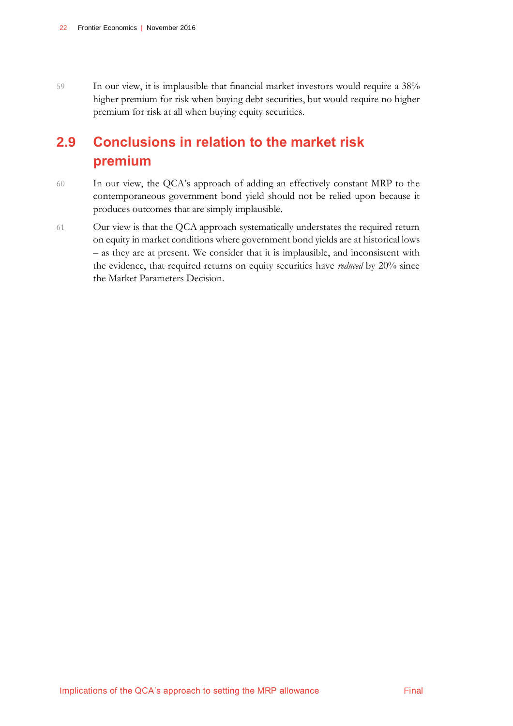59 In our view, it is implausible that financial market investors would require a 38% higher premium for risk when buying debt securities, but would require no higher premium for risk at all when buying equity securities.

# <span id="page-25-0"></span>**2.9 Conclusions in relation to the market risk premium**

- 60 In our view, the QCA's approach of adding an effectively constant MRP to the contemporaneous government bond yield should not be relied upon because it produces outcomes that are simply implausible.
- 61 Our view is that the QCA approach systematically understates the required return on equity in market conditions where government bond yields are at historical lows – as they are at present. We consider that it is implausible, and inconsistent with the evidence, that required returns on equity securities have *reduced* by 20% since the Market Parameters Decision.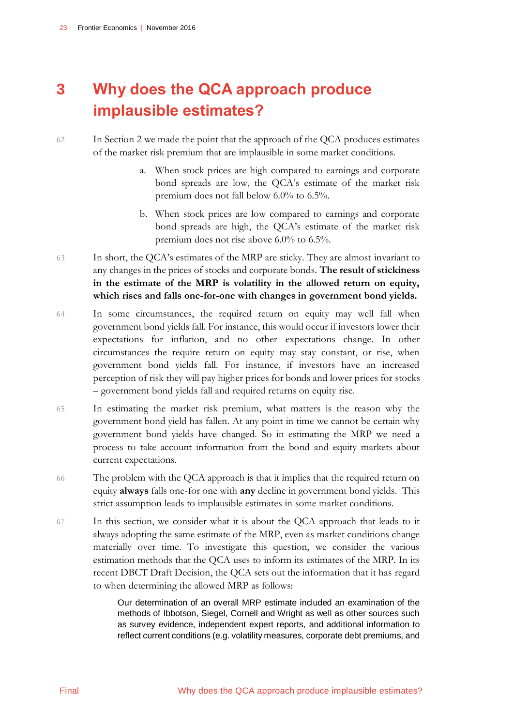# <span id="page-26-0"></span>**3 Why does the QCA approach produce implausible estimates?**

### 62 In Section 2 we made the point that the approach of the QCA produces estimates of the market risk premium that are implausible in some market conditions.

- a. When stock prices are high compared to earnings and corporate bond spreads are low, the QCA's estimate of the market risk premium does not fall below 6.0% to 6.5%.
- b. When stock prices are low compared to earnings and corporate bond spreads are high, the QCA's estimate of the market risk premium does not rise above 6.0% to 6.5%.
- 63 In short, the QCA's estimates of the MRP are sticky. They are almost invariant to any changes in the prices of stocks and corporate bonds. **The result of stickiness in the estimate of the MRP is volatility in the allowed return on equity, which rises and falls one-for-one with changes in government bond yields.**
- 64 In some circumstances, the required return on equity may well fall when government bond yields fall. For instance, this would occur if investors lower their expectations for inflation, and no other expectations change. In other circumstances the require return on equity may stay constant, or rise, when government bond yields fall. For instance, if investors have an increased perception of risk they will pay higher prices for bonds and lower prices for stocks – government bond yields fall and required returns on equity rise.
- 65 In estimating the market risk premium, what matters is the reason why the government bond yield has fallen. At any point in time we cannot be certain why government bond yields have changed. So in estimating the MRP we need a process to take account information from the bond and equity markets about current expectations.
- 66 The problem with the QCA approach is that it implies that the required return on equity **always** falls one-for one with **any** decline in government bond yields. This strict assumption leads to implausible estimates in some market conditions.
- 67 In this section, we consider what it is about the QCA approach that leads to it always adopting the same estimate of the MRP, even as market conditions change materially over time. To investigate this question, we consider the various estimation methods that the QCA uses to inform its estimates of the MRP. In its recent DBCT Draft Decision, the QCA sets out the information that it has regard to when determining the allowed MRP as follows:

Our determination of an overall MRP estimate included an examination of the methods of Ibbotson, Siegel, Cornell and Wright as well as other sources such as survey evidence, independent expert reports, and additional information to reflect current conditions (e.g. volatility measures, corporate debt premiums, and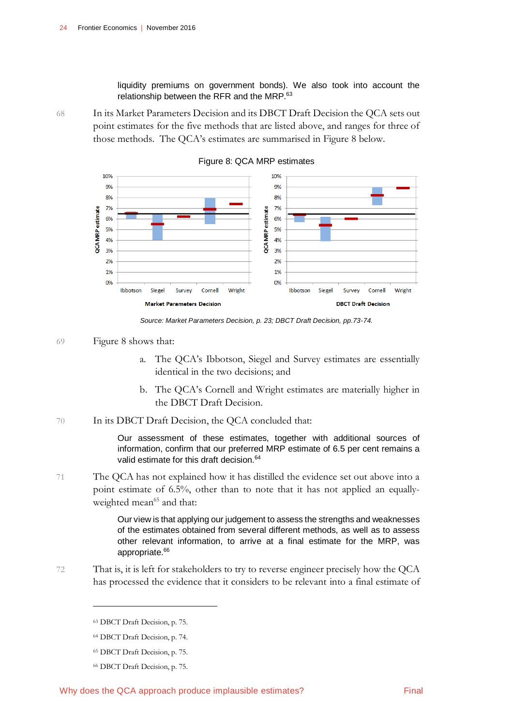liquidity premiums on government bonds). We also took into account the relationship between the RFR and the MRP.<sup>63</sup>

68 In its Market Parameters Decision and its DBCT Draft Decision the QCA sets out point estimates for the five methods that are listed above, and ranges for three of those methods. The QCA's estimates are summarised in Figure 8 below.

<span id="page-27-0"></span>

Figure 8: QCA MRP estimates

*Source: Market Parameters Decision, p. 23; DBCT Draft Decision, pp.73-74.*

#### 69 Figure 8 shows that:

- a. The QCA's Ibbotson, Siegel and Survey estimates are essentially identical in the two decisions; and
- b. The QCA's Cornell and Wright estimates are materially higher in the DBCT Draft Decision.
- 70 In its DBCT Draft Decision, the QCA concluded that:

Our assessment of these estimates, together with additional sources of information, confirm that our preferred MRP estimate of 6.5 per cent remains a valid estimate for this draft decision.<sup>64</sup>

71 The QCA has not explained how it has distilled the evidence set out above into a point estimate of 6.5%, other than to note that it has not applied an equallyweighted mean<sup>65</sup> and that:

> Our view is that applying our judgement to assess the strengths and weaknesses of the estimates obtained from several different methods, as well as to assess other relevant information, to arrive at a final estimate for the MRP, was appropriate.<sup>66</sup>

72 That is, it is left for stakeholders to try to reverse engineer precisely how the QCA has processed the evidence that it considers to be relevant into a final estimate of

<sup>63</sup> DBCT Draft Decision, p. 75.

<sup>64</sup> DBCT Draft Decision, p. 74.

<sup>65</sup> DBCT Draft Decision, p. 75.

<sup>66</sup> DBCT Draft Decision, p. 75.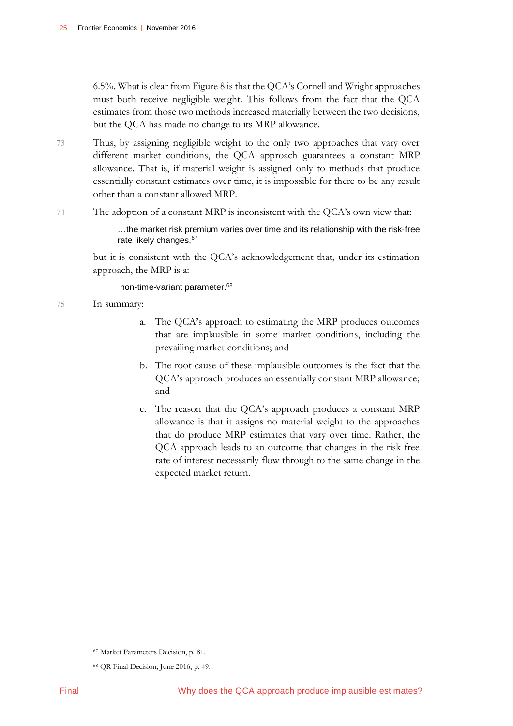6.5%. What is clear from Figure 8 is that the QCA's Cornell and Wright approaches must both receive negligible weight. This follows from the fact that the QCA estimates from those two methods increased materially between the two decisions, but the QCA has made no change to its MRP allowance.

73 Thus, by assigning negligible weight to the only two approaches that vary over different market conditions, the QCA approach guarantees a constant MRP allowance. That is, if material weight is assigned only to methods that produce essentially constant estimates over time, it is impossible for there to be any result other than a constant allowed MRP.

74 The adoption of a constant MRP is inconsistent with the QCA's own view that:

…the market risk premium varies over time and its relationship with the risk‐free rate likely changes, 67

but it is consistent with the QCA's acknowledgement that, under its estimation approach, the MRP is a:

non-time-variant parameter.<sup>68</sup>

75 In summary:

- a. The QCA's approach to estimating the MRP produces outcomes that are implausible in some market conditions, including the prevailing market conditions; and
- b. The root cause of these implausible outcomes is the fact that the QCA's approach produces an essentially constant MRP allowance; and
- c. The reason that the QCA's approach produces a constant MRP allowance is that it assigns no material weight to the approaches that do produce MRP estimates that vary over time. Rather, the QCA approach leads to an outcome that changes in the risk free rate of interest necessarily flow through to the same change in the expected market return.

<sup>67</sup> Market Parameters Decision, p. 81.

<sup>68</sup> QR Final Decision, June 2016, p. 49.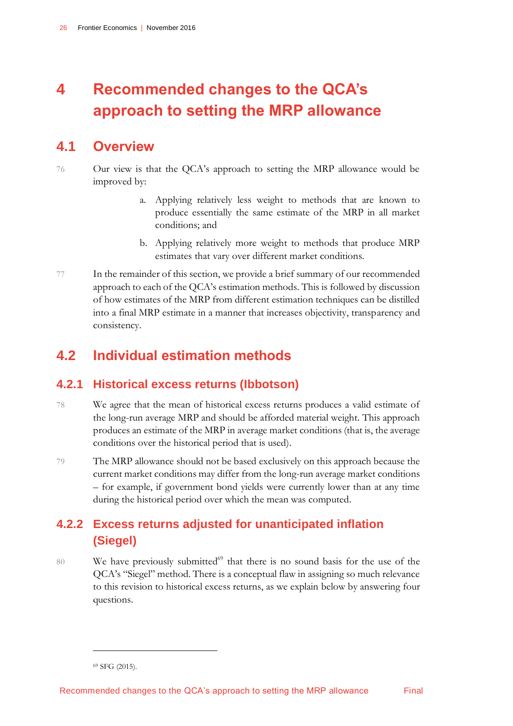# <span id="page-29-0"></span>**4 Recommended changes to the QCA's approach to setting the MRP allowance**

# <span id="page-29-1"></span>**4.1 Overview**

- 76 Our view is that the QCA's approach to setting the MRP allowance would be improved by:
	- a. Applying relatively less weight to methods that are known to produce essentially the same estimate of the MRP in all market conditions; and
	- b. Applying relatively more weight to methods that produce MRP estimates that vary over different market conditions.
- 77 In the remainder of this section, we provide a brief summary of our recommended approach to each of the QCA's estimation methods. This is followed by discussion of how estimates of the MRP from different estimation techniques can be distilled into a final MRP estimate in a manner that increases objectivity, transparency and consistency.

# <span id="page-29-2"></span>**4.2 Individual estimation methods**

## **4.2.1 Historical excess returns (Ibbotson)**

- 78 We agree that the mean of historical excess returns produces a valid estimate of the long-run average MRP and should be afforded material weight. This approach produces an estimate of the MRP in average market conditions (that is, the average conditions over the historical period that is used).
- 79 The MRP allowance should not be based exclusively on this approach because the current market conditions may differ from the long-run average market conditions – for example, if government bond yields were currently lower than at any time during the historical period over which the mean was computed.

# **4.2.2 Excess returns adjusted for unanticipated inflation (Siegel)**

80 We have previously submitted $^{69}$  that there is no sound basis for the use of the QCA's "Siegel" method. There is a conceptual flaw in assigning so much relevance to this revision to historical excess returns, as we explain below by answering four questions.

<sup>69</sup> SFG (2015).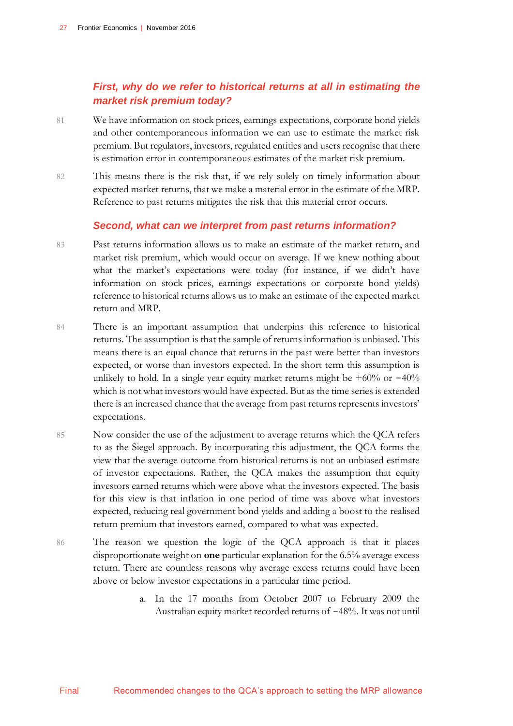### *First, why do we refer to historical returns at all in estimating the market risk premium today?*

- 81 We have information on stock prices, earnings expectations, corporate bond yields and other contemporaneous information we can use to estimate the market risk premium. But regulators, investors, regulated entities and users recognise that there is estimation error in contemporaneous estimates of the market risk premium.
- 82 This means there is the risk that, if we rely solely on timely information about expected market returns, that we make a material error in the estimate of the MRP. Reference to past returns mitigates the risk that this material error occurs.

#### *Second, what can we interpret from past returns information?*

- 83 Past returns information allows us to make an estimate of the market return, and market risk premium, which would occur on average. If we knew nothing about what the market's expectations were today (for instance, if we didn't have information on stock prices, earnings expectations or corporate bond yields) reference to historical returns allows us to make an estimate of the expected market return and MRP.
- 84 There is an important assumption that underpins this reference to historical returns. The assumption is that the sample of returns information is unbiased. This means there is an equal chance that returns in the past were better than investors expected, or worse than investors expected. In the short term this assumption is unlikely to hold. In a single year equity market returns might be  $+60\%$  or  $-40\%$ which is not what investors would have expected. But as the time series is extended there is an increased chance that the average from past returns represents investors' expectations.
- 85 Now consider the use of the adjustment to average returns which the QCA refers to as the Siegel approach. By incorporating this adjustment, the QCA forms the view that the average outcome from historical returns is not an unbiased estimate of investor expectations. Rather, the QCA makes the assumption that equity investors earned returns which were above what the investors expected. The basis for this view is that inflation in one period of time was above what investors expected, reducing real government bond yields and adding a boost to the realised return premium that investors earned, compared to what was expected.
- 86 The reason we question the logic of the QCA approach is that it places disproportionate weight on **one** particular explanation for the 6.5% average excess return. There are countless reasons why average excess returns could have been above or below investor expectations in a particular time period.
	- a. In the 17 months from October 2007 to February 2009 the Australian equity market recorded returns of -48%. It was not until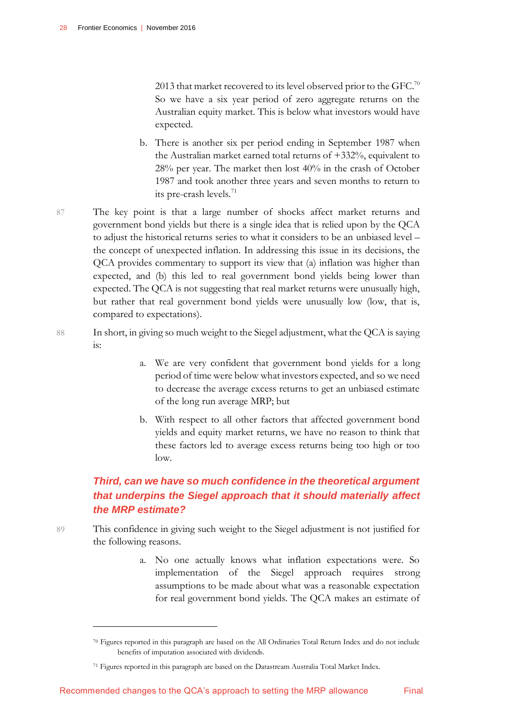2013 that market recovered to its level observed prior to the GFC.<sup>70</sup> So we have a six year period of zero aggregate returns on the Australian equity market. This is below what investors would have expected.

- b. There is another six per period ending in September 1987 when the Australian market earned total returns of +332%, equivalent to 28% per year. The market then lost 40% in the crash of October 1987 and took another three years and seven months to return to its pre-crash levels.<sup>71</sup>
- 87 The key point is that a large number of shocks affect market returns and government bond yields but there is a single idea that is relied upon by the QCA to adjust the historical returns series to what it considers to be an unbiased level – the concept of unexpected inflation. In addressing this issue in its decisions, the QCA provides commentary to support its view that (a) inflation was higher than expected, and (b) this led to real government bond yields being lower than expected. The QCA is not suggesting that real market returns were unusually high, but rather that real government bond yields were unusually low (low, that is, compared to expectations).
- 88 In short, in giving so much weight to the Siegel adjustment, what the QCA is saying is:
	- a. We are very confident that government bond yields for a long period of time were below what investors expected, and so we need to decrease the average excess returns to get an unbiased estimate of the long run average MRP; but
	- b. With respect to all other factors that affected government bond yields and equity market returns, we have no reason to think that these factors led to average excess returns being too high or too low.

## *Third, can we have so much confidence in the theoretical argument that underpins the Siegel approach that it should materially affect the MRP estimate?*

- 89 This confidence in giving such weight to the Siegel adjustment is not justified for the following reasons.
	- a. No one actually knows what inflation expectations were. So implementation of the Siegel approach requires strong assumptions to be made about what was a reasonable expectation for real government bond yields. The QCA makes an estimate of

<sup>70</sup> Figures reported in this paragraph are based on the All Ordinaries Total Return Index and do not include benefits of imputation associated with dividends.

<sup>71</sup> Figures reported in this paragraph are based on the Datastream Australia Total Market Index.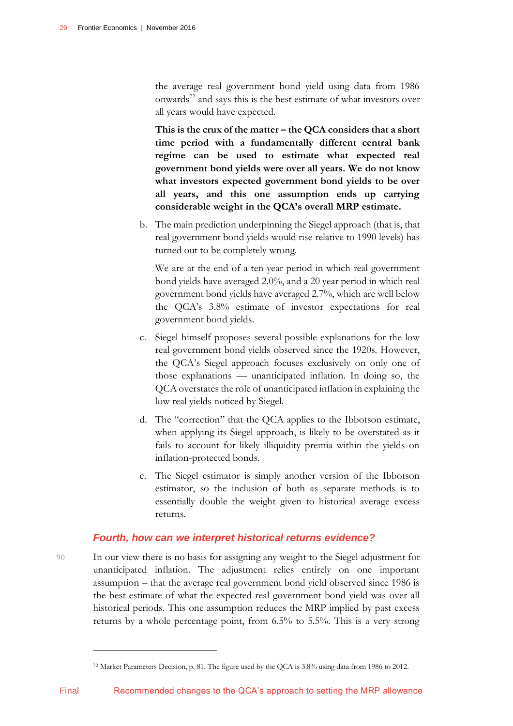the average real government bond yield using data from 1986 onwards<sup>72</sup> and says this is the best estimate of what investors over all years would have expected.

**This is the crux of the matter – the QCA considers that a short time period with a fundamentally different central bank regime can be used to estimate what expected real government bond yields were over all years. We do not know what investors expected government bond yields to be over all years, and this one assumption ends up carrying considerable weight in the QCA's overall MRP estimate.**

b. The main prediction underpinning the Siegel approach (that is, that real government bond yields would rise relative to 1990 levels) has turned out to be completely wrong.

We are at the end of a ten year period in which real government bond yields have averaged 2.0%, and a 20 year period in which real government bond yields have averaged 2.7%, which are well below the QCA's 3.8% estimate of investor expectations for real government bond yields.

- c. Siegel himself proposes several possible explanations for the low real government bond yields observed since the 1920s. However, the QCA's Siegel approach focuses exclusively on only one of those explanations — unanticipated inflation. In doing so, the QCA overstates the role of unanticipated inflation in explaining the low real yields noticed by Siegel.
- d. The "correction" that the QCA applies to the Ibbotson estimate, when applying its Siegel approach, is likely to be overstated as it fails to account for likely illiquidity premia within the yields on inflation-protected bonds.
- e. The Siegel estimator is simply another version of the Ibbotson estimator, so the inclusion of both as separate methods is to essentially double the weight given to historical average excess returns.

#### *Fourth, how can we interpret historical returns evidence?*

90 In our view there is no basis for assigning any weight to the Siegel adjustment for unanticipated inflation. The adjustment relies entirely on one important assumption – that the average real government bond yield observed since 1986 is the best estimate of what the expected real government bond yield was over all historical periods. This one assumption reduces the MRP implied by past excess returns by a whole percentage point, from 6.5% to 5.5%. This is a very strong

<sup>72</sup> Market Parameters Decision, p. 81. The figure used by the QCA is 3.8% using data from 1986 to 2012.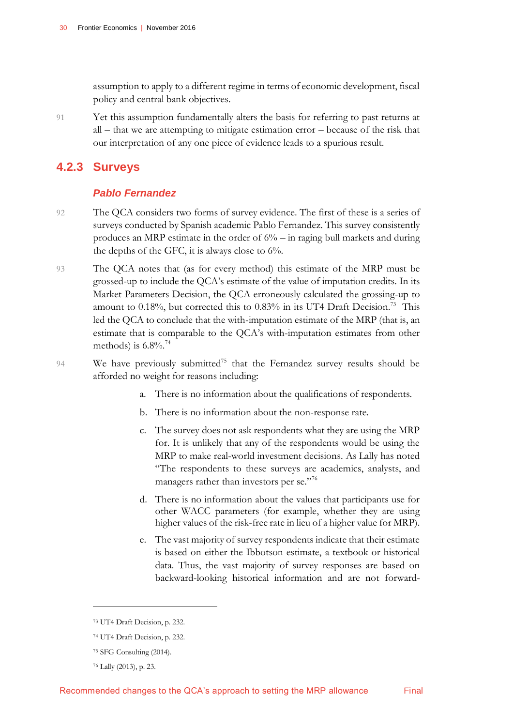assumption to apply to a different regime in terms of economic development, fiscal policy and central bank objectives.

91 Yet this assumption fundamentally alters the basis for referring to past returns at all – that we are attempting to mitigate estimation error – because of the risk that our interpretation of any one piece of evidence leads to a spurious result.

## **4.2.3 Surveys**

### *Pablo Fernandez*

- 92 The QCA considers two forms of survey evidence. The first of these is a series of surveys conducted by Spanish academic Pablo Fernandez. This survey consistently produces an MRP estimate in the order of  $6\%$  – in raging bull markets and during the depths of the GFC, it is always close to  $6\%$ .
- 93 The QCA notes that (as for every method) this estimate of the MRP must be grossed-up to include the QCA's estimate of the value of imputation credits. In its Market Parameters Decision, the QCA erroneously calculated the grossing-up to amount to 0.18%, but corrected this to 0.83% in its UT4 Draft Decision.<sup>73</sup> This led the QCA to conclude that the with-imputation estimate of the MRP (that is, an estimate that is comparable to the QCA's with-imputation estimates from other methods) is  $6.8\%$ .<sup>74</sup>
- 94 We have previously submitted<sup>75</sup> that the Fernandez survey results should be afforded no weight for reasons including:
	- There is no information about the qualifications of respondents.
	- b. There is no information about the non-response rate.
	- c. The survey does not ask respondents what they are using the MRP for. It is unlikely that any of the respondents would be using the MRP to make real-world investment decisions. As Lally has noted "The respondents to these surveys are academics, analysts, and managers rather than investors per se."76
	- d. There is no information about the values that participants use for other WACC parameters (for example, whether they are using higher values of the risk-free rate in lieu of a higher value for MRP).
	- e. The vast majority of survey respondents indicate that their estimate is based on either the Ibbotson estimate, a textbook or historical data. Thus, the vast majority of survey responses are based on backward-looking historical information and are not forward-

<sup>73</sup> UT4 Draft Decision, p. 232.

<sup>74</sup> UT4 Draft Decision, p. 232.

<sup>75</sup> SFG Consulting (2014).

<sup>76</sup> Lally (2013), p. 23.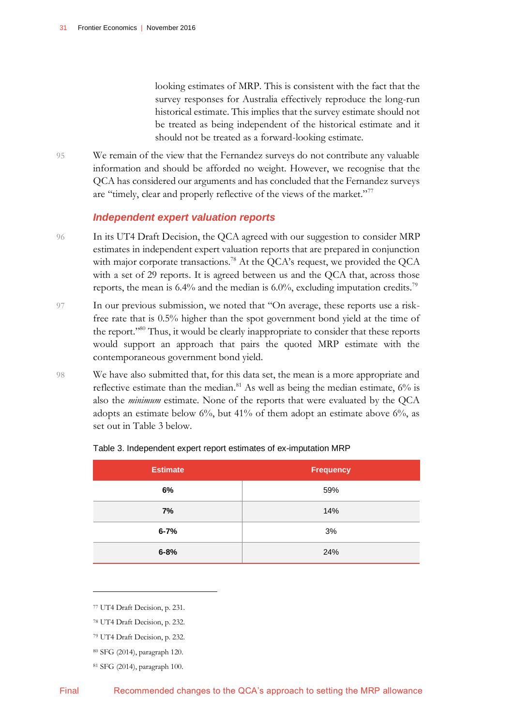looking estimates of MRP. This is consistent with the fact that the survey responses for Australia effectively reproduce the long-run historical estimate. This implies that the survey estimate should not be treated as being independent of the historical estimate and it should not be treated as a forward-looking estimate.

95 We remain of the view that the Fernandez surveys do not contribute any valuable information and should be afforded no weight. However, we recognise that the QCA has considered our arguments and has concluded that the Fernandez surveys are "timely, clear and properly reflective of the views of the market."<sup>77</sup>

#### *Independent expert valuation reports*

- 96 In its UT4 Draft Decision, the QCA agreed with our suggestion to consider MRP estimates in independent expert valuation reports that are prepared in conjunction with major corporate transactions.<sup>78</sup> At the QCA's request, we provided the QCA with a set of 29 reports. It is agreed between us and the QCA that, across those reports, the mean is  $6.4\%$  and the median is  $6.0\%$ , excluding imputation credits.<sup>79</sup>
- 97 In our previous submission, we noted that "On average, these reports use a riskfree rate that is 0.5% higher than the spot government bond yield at the time of the report."<sup>80</sup> Thus, it would be clearly inappropriate to consider that these reports would support an approach that pairs the quoted MRP estimate with the contemporaneous government bond yield.
- 98 We have also submitted that, for this data set, the mean is a more appropriate and reflective estimate than the median. $81$  As well as being the median estimate,  $6\%$  is also the *minimum* estimate. None of the reports that were evaluated by the QCA adopts an estimate below  $6\%$ , but 41% of them adopt an estimate above  $6\%$ , as set out in Table 3 below.

| <b>Estimate</b> | <b>Frequency</b> |
|-----------------|------------------|
| 6%              | 59%              |
| 7%              | 14%              |
| $6 - 7%$        | 3%               |
| $6 - 8%$        | 24%              |

#### <span id="page-34-0"></span>Table 3. Independent expert report estimates of ex-imputation MRP

<sup>77</sup> UT4 Draft Decision, p. 231.

<sup>78</sup> UT4 Draft Decision, p. 232.

<sup>79</sup> UT4 Draft Decision, p. 232.

<sup>80</sup> SFG (2014), paragraph 120.

<sup>81</sup> SFG (2014), paragraph 100.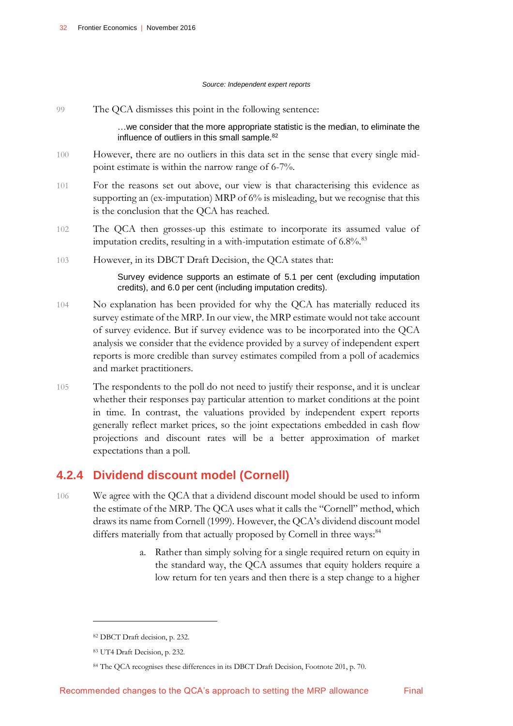#### *Source: Independent expert reports*

99 The QCA dismisses this point in the following sentence: …we consider that the more appropriate statistic is the median, to eliminate the influence of outliers in this small sample.<sup>82</sup> 100 However, there are no outliers in this data set in the sense that every single midpoint estimate is within the narrow range of 6-7%. 101 For the reasons set out above, our view is that characterising this evidence as supporting an (ex-imputation) MRP of 6% is misleading, but we recognise that this is the conclusion that the QCA has reached. 102 The QCA then grosses-up this estimate to incorporate its assumed value of imputation credits, resulting in a with-imputation estimate of  $6.8\%$ .<sup>83</sup> 103 However, in its DBCT Draft Decision, the QCA states that: Survey evidence supports an estimate of 5.1 per cent (excluding imputation credits), and 6.0 per cent (including imputation credits). 104 No explanation has been provided for why the QCA has materially reduced its

- survey estimate of the MRP. In our view, the MRP estimate would not take account of survey evidence. But if survey evidence was to be incorporated into the QCA analysis we consider that the evidence provided by a survey of independent expert reports is more credible than survey estimates compiled from a poll of academics and market practitioners.
- 105 The respondents to the poll do not need to justify their response, and it is unclear whether their responses pay particular attention to market conditions at the point in time. In contrast, the valuations provided by independent expert reports generally reflect market prices, so the joint expectations embedded in cash flow projections and discount rates will be a better approximation of market expectations than a poll.

## **4.2.4 Dividend discount model (Cornell)**

- 106 We agree with the QCA that a dividend discount model should be used to inform the estimate of the MRP. The QCA uses what it calls the "Cornell" method, which draws its name from Cornell (1999). However, the QCA's dividend discount model differs materially from that actually proposed by Cornell in three ways:<sup>84</sup>
	- a. Rather than simply solving for a single required return on equity in the standard way, the QCA assumes that equity holders require a low return for ten years and then there is a step change to a higher

<sup>82</sup> DBCT Draft decision, p. 232.

<sup>83</sup> UT4 Draft Decision, p. 232.

<sup>84</sup> The QCA recognises these differences in its DBCT Draft Decision, Footnote 201, p. 70.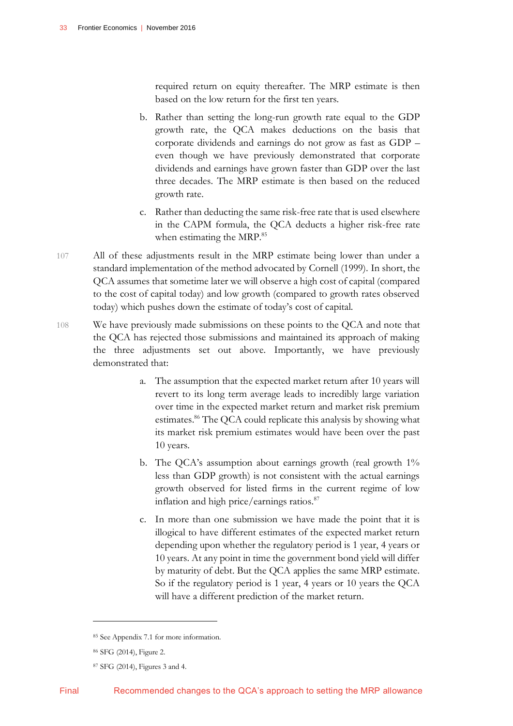required return on equity thereafter. The MRP estimate is then based on the low return for the first ten years.

- b. Rather than setting the long-run growth rate equal to the GDP growth rate, the QCA makes deductions on the basis that corporate dividends and earnings do not grow as fast as GDP – even though we have previously demonstrated that corporate dividends and earnings have grown faster than GDP over the last three decades. The MRP estimate is then based on the reduced growth rate.
- c. Rather than deducting the same risk-free rate that is used elsewhere in the CAPM formula, the QCA deducts a higher risk-free rate when estimating the MRP.<sup>85</sup>
- 107 All of these adjustments result in the MRP estimate being lower than under a standard implementation of the method advocated by Cornell (1999). In short, the QCA assumes that sometime later we will observe a high cost of capital (compared to the cost of capital today) and low growth (compared to growth rates observed today) which pushes down the estimate of today's cost of capital.
- 108 We have previously made submissions on these points to the QCA and note that the QCA has rejected those submissions and maintained its approach of making the three adjustments set out above. Importantly, we have previously demonstrated that:
	- a. The assumption that the expected market return after 10 years will revert to its long term average leads to incredibly large variation over time in the expected market return and market risk premium estimates.<sup>86</sup> The QCA could replicate this analysis by showing what its market risk premium estimates would have been over the past 10 years.
	- b. The QCA's assumption about earnings growth (real growth 1% less than GDP growth) is not consistent with the actual earnings growth observed for listed firms in the current regime of low inflation and high price/earnings ratios.<sup>87</sup>
	- c. In more than one submission we have made the point that it is illogical to have different estimates of the expected market return depending upon whether the regulatory period is 1 year, 4 years or 10 years. At any point in time the government bond yield will differ by maturity of debt. But the QCA applies the same MRP estimate. So if the regulatory period is 1 year, 4 years or 10 years the QCA will have a different prediction of the market return.

<sup>85</sup> See Appendix 7.1 for more information.

<sup>86</sup> SFG (2014), Figure 2.

<sup>87</sup> SFG (2014), Figures 3 and 4.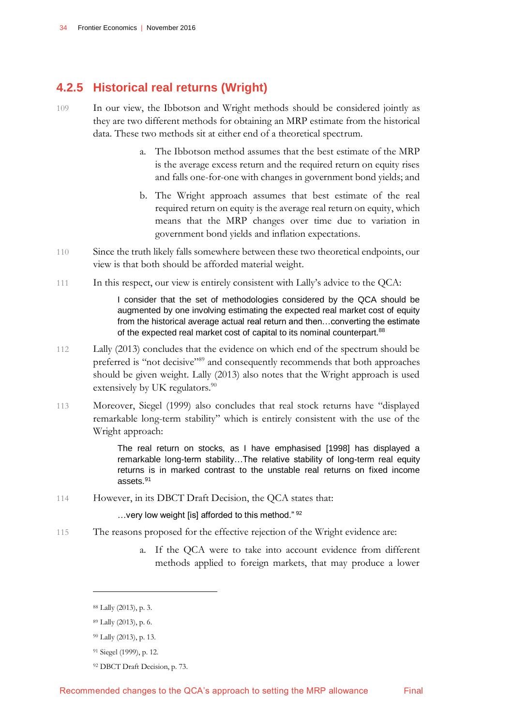## **4.2.5 Historical real returns (Wright)**

- 109 In our view, the Ibbotson and Wright methods should be considered jointly as they are two different methods for obtaining an MRP estimate from the historical data. These two methods sit at either end of a theoretical spectrum.
	- a. The Ibbotson method assumes that the best estimate of the MRP is the average excess return and the required return on equity rises and falls one-for-one with changes in government bond yields; and
	- b. The Wright approach assumes that best estimate of the real required return on equity is the average real return on equity, which means that the MRP changes over time due to variation in government bond yields and inflation expectations.
- 110 Since the truth likely falls somewhere between these two theoretical endpoints, our view is that both should be afforded material weight.
- 111 In this respect, our view is entirely consistent with Lally's advice to the QCA:

I consider that the set of methodologies considered by the QCA should be augmented by one involving estimating the expected real market cost of equity from the historical average actual real return and then…converting the estimate of the expected real market cost of capital to its nominal counterpart.<sup>88</sup>

- 112 Lally (2013) concludes that the evidence on which end of the spectrum should be preferred is "not decisive"<sup>89</sup> and consequently recommends that both approaches should be given weight. Lally (2013) also notes that the Wright approach is used extensively by UK regulators. $90$
- 113 Moreover, Siegel (1999) also concludes that real stock returns have "displayed remarkable long-term stability" which is entirely consistent with the use of the Wright approach:

The real return on stocks, as I have emphasised [1998] has displayed a remarkable long-term stability…The relative stability of long-term real equity returns is in marked contrast to the unstable real returns on fixed income assets.<sup>91</sup>

114 However, in its DBCT Draft Decision, the QCA states that:

…very low weight [is] afforded to this method." <sup>92</sup>

- 115 The reasons proposed for the effective rejection of the Wright evidence are:
	- a. If the QCA were to take into account evidence from different methods applied to foreign markets, that may produce a lower

 $\overline{a}$ 

<sup>92</sup> DBCT Draft Decision, p. 73.

<sup>88</sup> Lally (2013), p. 3.

<sup>89</sup> Lally (2013), p. 6.

<sup>90</sup> Lally (2013), p. 13.

<sup>91</sup> Siegel (1999), p. 12.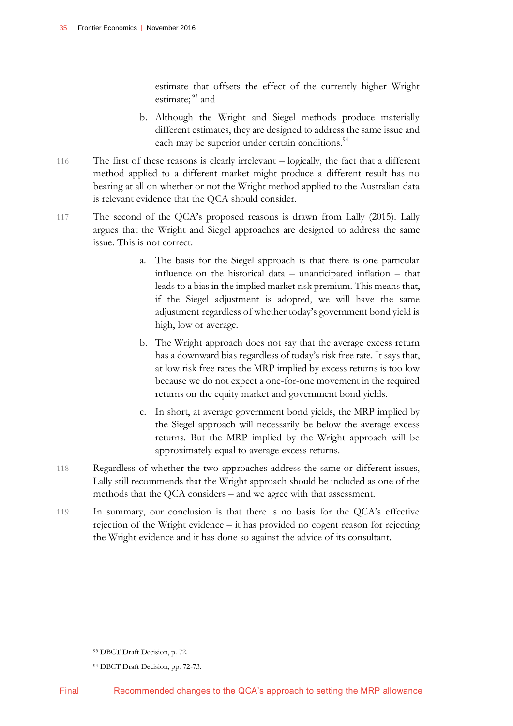estimate that offsets the effect of the currently higher Wright estimate;<sup>93</sup> and

- b. Although the Wright and Siegel methods produce materially different estimates, they are designed to address the same issue and each may be superior under certain conditions.<sup>94</sup>
- 116 The first of these reasons is clearly irrelevant logically, the fact that a different method applied to a different market might produce a different result has no bearing at all on whether or not the Wright method applied to the Australian data is relevant evidence that the QCA should consider.
- 117 The second of the QCA's proposed reasons is drawn from Lally (2015). Lally argues that the Wright and Siegel approaches are designed to address the same issue. This is not correct.
	- a. The basis for the Siegel approach is that there is one particular influence on the historical data – unanticipated inflation – that leads to a bias in the implied market risk premium. This means that, if the Siegel adjustment is adopted, we will have the same adjustment regardless of whether today's government bond yield is high, low or average.
	- b. The Wright approach does not say that the average excess return has a downward bias regardless of today's risk free rate. It says that, at low risk free rates the MRP implied by excess returns is too low because we do not expect a one-for-one movement in the required returns on the equity market and government bond yields.
	- c. In short, at average government bond yields, the MRP implied by the Siegel approach will necessarily be below the average excess returns. But the MRP implied by the Wright approach will be approximately equal to average excess returns.
- 118 Regardless of whether the two approaches address the same or different issues, Lally still recommends that the Wright approach should be included as one of the methods that the QCA considers – and we agree with that assessment.
- 119 In summary, our conclusion is that there is no basis for the QCA's effective rejection of the Wright evidence – it has provided no cogent reason for rejecting the Wright evidence and it has done so against the advice of its consultant.

<sup>93</sup> DBCT Draft Decision, p. 72.

<sup>94</sup> DBCT Draft Decision, pp. 72-73.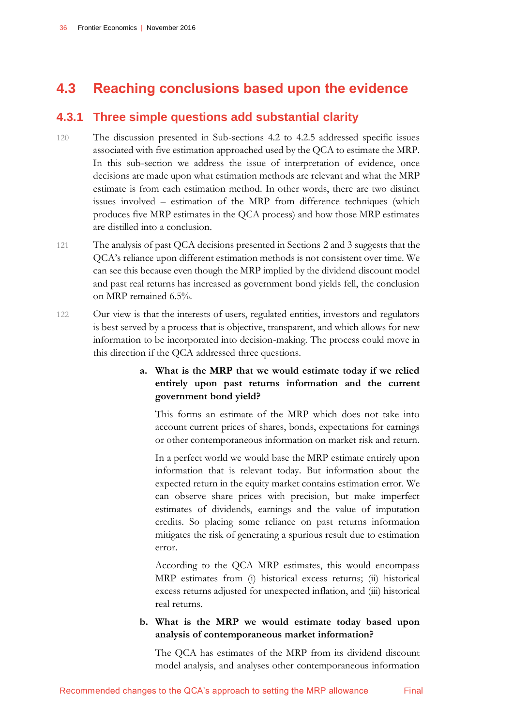# <span id="page-39-0"></span>**4.3 Reaching conclusions based upon the evidence**

## **4.3.1 Three simple questions add substantial clarity**

- 120 The discussion presented in Sub-sections 4.2 to 4.2.5 addressed specific issues associated with five estimation approached used by the QCA to estimate the MRP. In this sub-section we address the issue of interpretation of evidence, once decisions are made upon what estimation methods are relevant and what the MRP estimate is from each estimation method. In other words, there are two distinct issues involved – estimation of the MRP from difference techniques (which produces five MRP estimates in the QCA process) and how those MRP estimates are distilled into a conclusion.
- 121 The analysis of past QCA decisions presented in Sections 2 and 3 suggests that the QCA's reliance upon different estimation methods is not consistent over time. We can see this because even though the MRP implied by the dividend discount model and past real returns has increased as government bond yields fell, the conclusion on MRP remained 6.5%.
- 122 Our view is that the interests of users, regulated entities, investors and regulators is best served by a process that is objective, transparent, and which allows for new information to be incorporated into decision-making. The process could move in this direction if the QCA addressed three questions.

### **a. What is the MRP that we would estimate today if we relied entirely upon past returns information and the current government bond yield?**

This forms an estimate of the MRP which does not take into account current prices of shares, bonds, expectations for earnings or other contemporaneous information on market risk and return.

In a perfect world we would base the MRP estimate entirely upon information that is relevant today. But information about the expected return in the equity market contains estimation error. We can observe share prices with precision, but make imperfect estimates of dividends, earnings and the value of imputation credits. So placing some reliance on past returns information mitigates the risk of generating a spurious result due to estimation error.

According to the QCA MRP estimates, this would encompass MRP estimates from (i) historical excess returns; (ii) historical excess returns adjusted for unexpected inflation, and (iii) historical real returns.

### **b. What is the MRP we would estimate today based upon analysis of contemporaneous market information?**

The QCA has estimates of the MRP from its dividend discount model analysis, and analyses other contemporaneous information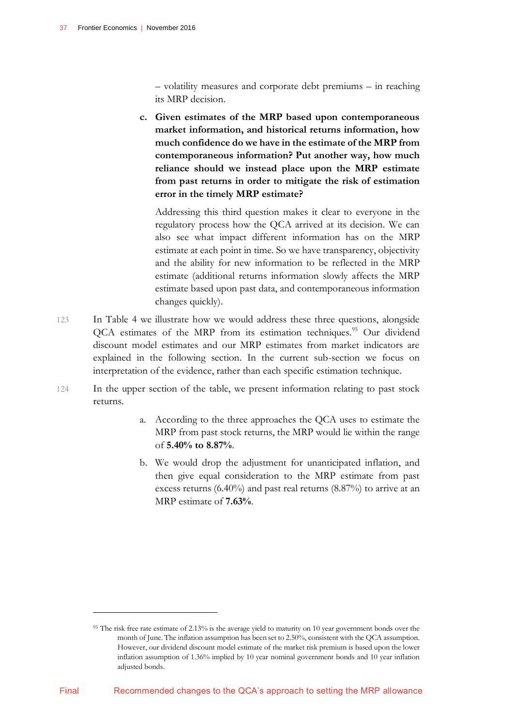$\overline{a}$ 

– volatility measures and corporate debt premiums – in reaching its MRP decision.

**c. Given estimates of the MRP based upon contemporaneous market information, and historical returns information, how much confidence do we have in the estimate of the MRP from contemporaneous information? Put another way, how much reliance should we instead place upon the MRP estimate from past returns in order to mitigate the risk of estimation error in the timely MRP estimate?**

Addressing this third question makes it clear to everyone in the regulatory process how the QCA arrived at its decision. We can also see what impact different information has on the MRP estimate at each point in time. So we have transparency, objectivity and the ability for new information to be reflected in the MRP estimate (additional returns information slowly affects the MRP estimate based upon past data, and contemporaneous information changes quickly).

- 123 In Table 4 we illustrate how we would address these three questions, alongside QCA estimates of the MRP from its estimation techniques.<sup>95</sup> Our dividend discount model estimates and our MRP estimates from market indicators are explained in the following section. In the current sub-section we focus on interpretation of the evidence, rather than each specific estimation technique.
- 124 In the upper section of the table, we present information relating to past stock returns.
	- a. According to the three approaches the QCA uses to estimate the MRP from past stock returns, the MRP would lie within the range of **5.40% to 8.87%**.
	- b. We would drop the adjustment for unanticipated inflation, and then give equal consideration to the MRP estimate from past excess returns (6.40%) and past real returns (8.87%) to arrive at an MRP estimate of **7.63%**.

<sup>&</sup>lt;sup>95</sup> The risk free rate estimate of 2.13% is the average yield to maturity on 10 year government bonds over the month of June. The inflation assumption has been set to 2.50%, consistent with the QCA assumption. However, our dividend discount model estimate of the market risk premium is based upon the lower inflation assumption of 1.36% implied by 10 year nominal government bonds and 10 year inflation adjusted bonds.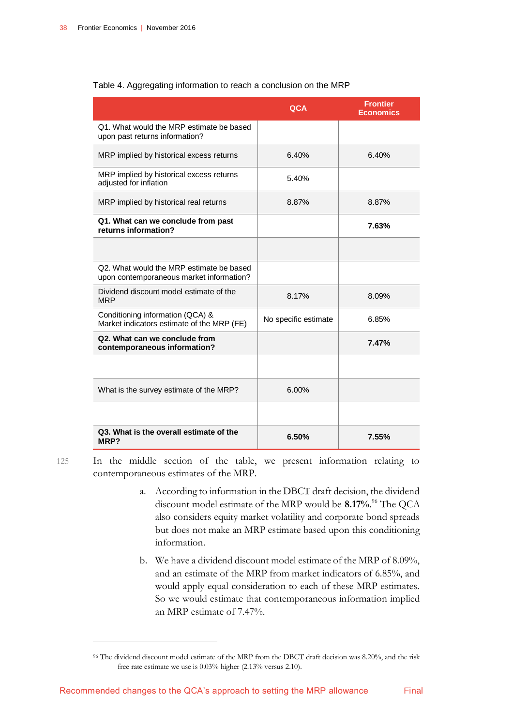|                                                                                      | QCA                  | <b>Frontier</b><br><b>Economics</b> |
|--------------------------------------------------------------------------------------|----------------------|-------------------------------------|
| Q1. What would the MRP estimate be based<br>upon past returns information?           |                      |                                     |
| MRP implied by historical excess returns                                             | 6.40%                | 6.40%                               |
| MRP implied by historical excess returns<br>adjusted for inflation                   | 5.40%                |                                     |
| MRP implied by historical real returns                                               | 8.87%                | 8.87%                               |
| Q1. What can we conclude from past<br>returns information?                           |                      | 7.63%                               |
|                                                                                      |                      |                                     |
| Q2. What would the MRP estimate be based<br>upon contemporaneous market information? |                      |                                     |
| Dividend discount model estimate of the<br><b>MRP</b>                                | 8.17%                | 8.09%                               |
| Conditioning information (QCA) &<br>Market indicators estimate of the MRP (FE)       | No specific estimate | 6.85%                               |
| Q2. What can we conclude from<br>contemporaneous information?                        |                      | 7.47%                               |
|                                                                                      |                      |                                     |
| What is the survey estimate of the MRP?                                              | 6.00%                |                                     |
|                                                                                      |                      |                                     |
| Q3. What is the overall estimate of the<br>MRP?                                      | 6.50%                | 7.55%                               |

### <span id="page-41-0"></span>Table 4. Aggregating information to reach a conclusion on the MRP

125 In the middle section of the table, we present information relating to contemporaneous estimates of the MRP.

- a. According to information in the DBCT draft decision, the dividend discount model estimate of the MRP would be **8.17%**. <sup>96</sup> The QCA also considers equity market volatility and corporate bond spreads but does not make an MRP estimate based upon this conditioning information.
- b. We have a dividend discount model estimate of the MRP of 8.09%, and an estimate of the MRP from market indicators of 6.85%, and would apply equal consideration to each of these MRP estimates. So we would estimate that contemporaneous information implied an MRP estimate of 7.47%.

<sup>96</sup> The dividend discount model estimate of the MRP from the DBCT draft decision was 8.20%, and the risk free rate estimate we use is 0.03% higher (2.13% versus 2.10).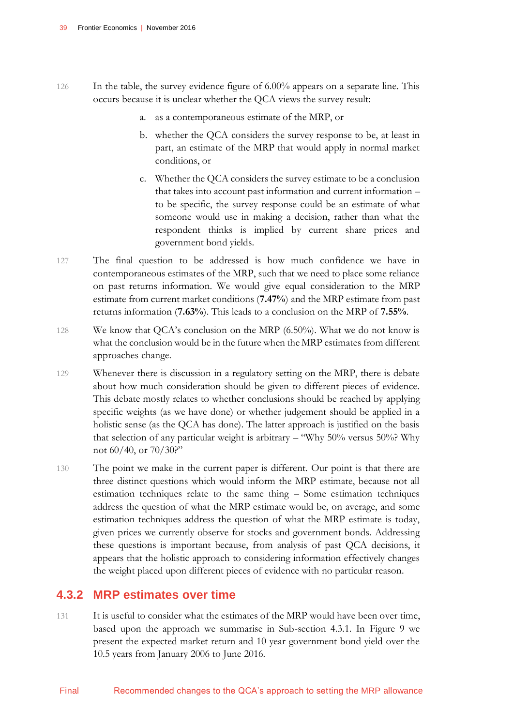- 126 In the table, the survey evidence figure of 6.00% appears on a separate line. This occurs because it is unclear whether the QCA views the survey result:
	- a. as a contemporaneous estimate of the MRP, or
	- b. whether the QCA considers the survey response to be, at least in part, an estimate of the MRP that would apply in normal market conditions, or
	- c. Whether the QCA considers the survey estimate to be a conclusion that takes into account past information and current information – to be specific, the survey response could be an estimate of what someone would use in making a decision, rather than what the respondent thinks is implied by current share prices and government bond yields.
- 127 The final question to be addressed is how much confidence we have in contemporaneous estimates of the MRP, such that we need to place some reliance on past returns information. We would give equal consideration to the MRP estimate from current market conditions (**7.47%**) and the MRP estimate from past returns information (**7.63%**). This leads to a conclusion on the MRP of **7.55%**.
- 128 We know that QCA's conclusion on the MRP (6.50%). What we do not know is what the conclusion would be in the future when the MRP estimates from different approaches change.
- 129 Whenever there is discussion in a regulatory setting on the MRP, there is debate about how much consideration should be given to different pieces of evidence. This debate mostly relates to whether conclusions should be reached by applying specific weights (as we have done) or whether judgement should be applied in a holistic sense (as the QCA has done). The latter approach is justified on the basis that selection of any particular weight is arbitrary – "Why 50% versus 50%? Why not 60/40, or 70/30?"
- 130 The point we make in the current paper is different. Our point is that there are three distinct questions which would inform the MRP estimate, because not all estimation techniques relate to the same thing – Some estimation techniques address the question of what the MRP estimate would be, on average, and some estimation techniques address the question of what the MRP estimate is today, given prices we currently observe for stocks and government bonds. Addressing these questions is important because, from analysis of past QCA decisions, it appears that the holistic approach to considering information effectively changes the weight placed upon different pieces of evidence with no particular reason.

### **4.3.2 MRP estimates over time**

131 It is useful to consider what the estimates of the MRP would have been over time, based upon the approach we summarise in Sub-section 4.3.1. In Figure 9 we present the expected market return and 10 year government bond yield over the 10.5 years from January 2006 to June 2016.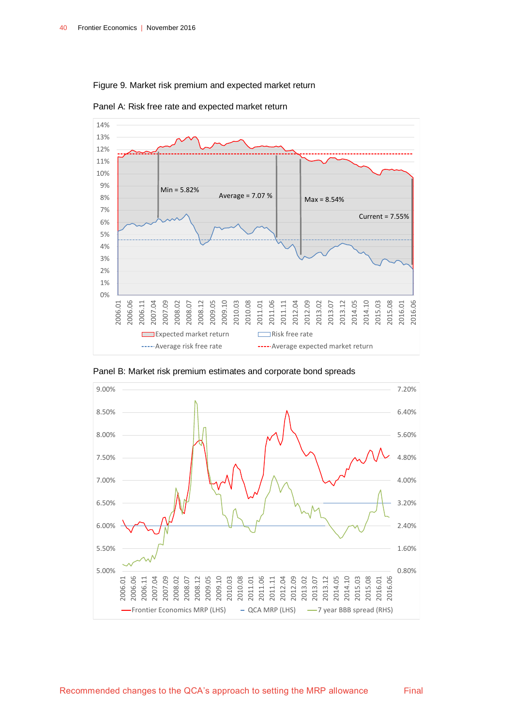#### <span id="page-43-0"></span>Figure 9. Market risk premium and expected market return



Panel A: Risk free rate and expected market return



Panel B: Market risk premium estimates and corporate bond spreads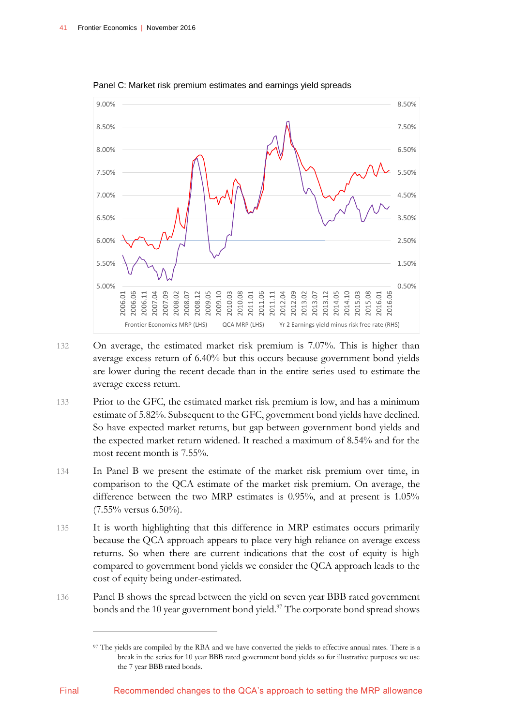

Panel C: Market risk premium estimates and earnings yield spreads

- 132 On average, the estimated market risk premium is 7.07%. This is higher than average excess return of 6.40% but this occurs because government bond yields are lower during the recent decade than in the entire series used to estimate the average excess return.
- 133 Prior to the GFC, the estimated market risk premium is low, and has a minimum estimate of 5.82%. Subsequent to the GFC, government bond yields have declined. So have expected market returns, but gap between government bond yields and the expected market return widened. It reached a maximum of 8.54% and for the most recent month is 7.55%.
- 134 In Panel B we present the estimate of the market risk premium over time, in comparison to the QCA estimate of the market risk premium. On average, the difference between the two MRP estimates is 0.95%, and at present is 1.05% (7.55% versus 6.50%).
- 135 It is worth highlighting that this difference in MRP estimates occurs primarily because the QCA approach appears to place very high reliance on average excess returns. So when there are current indications that the cost of equity is high compared to government bond yields we consider the QCA approach leads to the cost of equity being under-estimated.
- 136 Panel B shows the spread between the yield on seven year BBB rated government bonds and the 10 year government bond yield.<sup>97</sup> The corporate bond spread shows

<sup>97</sup> The yields are compiled by the RBA and we have converted the yields to effective annual rates. There is a break in the series for 10 year BBB rated government bond yields so for illustrative purposes we use the 7 year BBB rated bonds.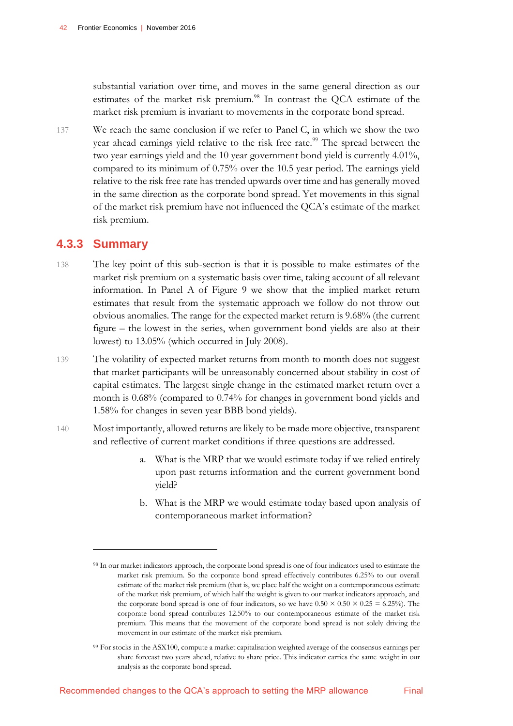substantial variation over time, and moves in the same general direction as our estimates of the market risk premium.<sup>98</sup> In contrast the QCA estimate of the market risk premium is invariant to movements in the corporate bond spread.

137 We reach the same conclusion if we refer to Panel C, in which we show the two year ahead earnings yield relative to the risk free rate.<sup>99</sup> The spread between the two year earnings yield and the 10 year government bond yield is currently 4.01%, compared to its minimum of 0.75% over the 10.5 year period. The earnings yield relative to the risk free rate has trended upwards over time and has generally moved in the same direction as the corporate bond spread. Yet movements in this signal of the market risk premium have not influenced the QCA's estimate of the market risk premium.

### **4.3.3 Summary**

 $\overline{a}$ 

- 138 The key point of this sub-section is that it is possible to make estimates of the market risk premium on a systematic basis over time, taking account of all relevant information. In Panel A of Figure 9 we show that the implied market return estimates that result from the systematic approach we follow do not throw out obvious anomalies. The range for the expected market return is 9.68% (the current figure – the lowest in the series, when government bond yields are also at their lowest) to 13.05% (which occurred in July 2008).
- 139 The volatility of expected market returns from month to month does not suggest that market participants will be unreasonably concerned about stability in cost of capital estimates. The largest single change in the estimated market return over a month is 0.68% (compared to 0.74% for changes in government bond yields and 1.58% for changes in seven year BBB bond yields).
- 140 Most importantly, allowed returns are likely to be made more objective, transparent and reflective of current market conditions if three questions are addressed.
	- a. What is the MRP that we would estimate today if we relied entirely upon past returns information and the current government bond yield?
	- b. What is the MRP we would estimate today based upon analysis of contemporaneous market information?

<sup>99</sup> For stocks in the ASX100, compute a market capitalisation weighted average of the consensus earnings per share forecast two years ahead, relative to share price. This indicator carries the same weight in our analysis as the corporate bond spread.

<sup>98</sup> In our market indicators approach, the corporate bond spread is one of four indicators used to estimate the market risk premium. So the corporate bond spread effectively contributes 6.25% to our overall estimate of the market risk premium (that is, we place half the weight on a contemporaneous estimate of the market risk premium, of which half the weight is given to our market indicators approach, and the corporate bond spread is one of four indicators, so we have  $0.50 \times 0.50 \times 0.25 = 6.25\%$ . The corporate bond spread contributes 12.50% to our contemporaneous estimate of the market risk premium. This means that the movement of the corporate bond spread is not solely driving the movement in our estimate of the market risk premium.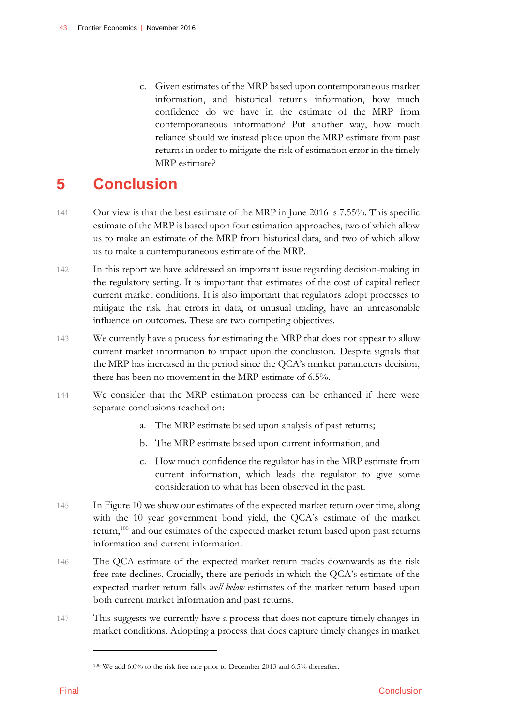c. Given estimates of the MRP based upon contemporaneous market information, and historical returns information, how much confidence do we have in the estimate of the MRP from contemporaneous information? Put another way, how much reliance should we instead place upon the MRP estimate from past returns in order to mitigate the risk of estimation error in the timely MRP estimate?

# <span id="page-46-0"></span>**5 Conclusion**

- 141 Our view is that the best estimate of the MRP in June 2016 is 7.55%. This specific estimate of the MRP is based upon four estimation approaches, two of which allow us to make an estimate of the MRP from historical data, and two of which allow us to make a contemporaneous estimate of the MRP.
- 142 In this report we have addressed an important issue regarding decision-making in the regulatory setting. It is important that estimates of the cost of capital reflect current market conditions. It is also important that regulators adopt processes to mitigate the risk that errors in data, or unusual trading, have an unreasonable influence on outcomes. These are two competing objectives.
- 143 We currently have a process for estimating the MRP that does not appear to allow current market information to impact upon the conclusion. Despite signals that the MRP has increased in the period since the QCA's market parameters decision, there has been no movement in the MRP estimate of 6.5%.
- 144 We consider that the MRP estimation process can be enhanced if there were separate conclusions reached on:
	- a. The MRP estimate based upon analysis of past returns;
	- b. The MRP estimate based upon current information; and
	- c. How much confidence the regulator has in the MRP estimate from current information, which leads the regulator to give some consideration to what has been observed in the past.
- 145 In Figure 10 we show our estimates of the expected market return over time, along with the 10 year government bond yield, the QCA's estimate of the market return,<sup>100</sup> and our estimates of the expected market return based upon past returns information and current information.
- 146 The QCA estimate of the expected market return tracks downwards as the risk free rate declines. Crucially, there are periods in which the QCA's estimate of the expected market return falls *well below* estimates of the market return based upon both current market information and past returns.
- 147 This suggests we currently have a process that does not capture timely changes in market conditions. Adopting a process that does capture timely changes in market

<sup>100</sup> We add 6.0% to the risk free rate prior to December 2013 and 6.5% thereafter.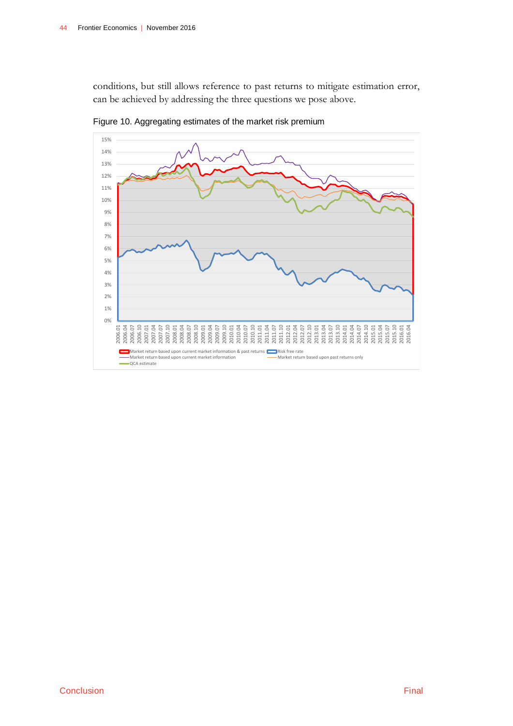conditions, but still allows reference to past returns to mitigate estimation error, can be achieved by addressing the three questions we pose above.



<span id="page-47-0"></span>Figure 10. Aggregating estimates of the market risk premium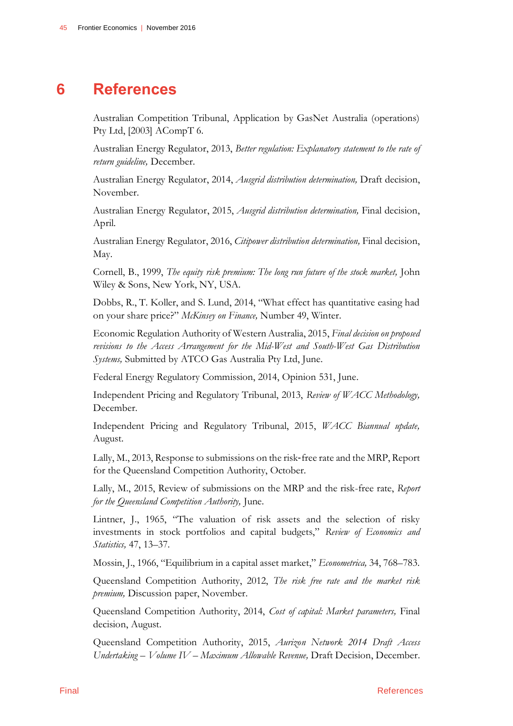# **6 References**

<span id="page-48-0"></span>Australian Competition Tribunal, Application by GasNet Australia (operations) Pty Ltd, [2003] ACompT 6.

Australian Energy Regulator, 2013, *Better regulation: Explanatory statement to the rate of return guideline,* December.

Australian Energy Regulator, 2014, *Ausgrid distribution determination,* Draft decision, November.

Australian Energy Regulator, 2015, *Ausgrid distribution determination,* Final decision, April.

Australian Energy Regulator, 2016, *Citipower distribution determination,* Final decision, May.

Cornell, B., 1999, *The equity risk premium: The long run future of the stock market,* John Wiley & Sons, New York, NY, USA.

Dobbs, R., T. Koller, and S. Lund, 2014, "What effect has quantitative easing had on your share price?" *McKinsey on Finance,* Number 49, Winter.

Economic Regulation Authority of Western Australia, 2015, *Final decision on proposed revisions to the Access Arrangement for the Mid-West and South-West Gas Distribution Systems,* Submitted by ATCO Gas Australia Pty Ltd, June.

Federal Energy Regulatory Commission, 2014, Opinion 531, June.

Independent Pricing and Regulatory Tribunal, 2013, *Review of WACC Methodology,* December.

Independent Pricing and Regulatory Tribunal, 2015, *WACC Biannual update,*  August.

Lally, M., 2013, Response to submissions on the risk‐free rate and the MRP, Report for the Queensland Competition Authority, October.

Lally, M., 2015, Review of submissions on the MRP and the risk-free rate, *Report for the Queensland Competition Authority,* June.

Lintner, J., 1965, "The valuation of risk assets and the selection of risky investments in stock portfolios and capital budgets," *Review of Economics and Statistics,* 47, 13–37.

Mossin, J., 1966, "Equilibrium in a capital asset market," *Econometrica,* 34, 768–783.

Queensland Competition Authority, 2012, *The risk free rate and the market risk premium,* Discussion paper, November.

Queensland Competition Authority, 2014, *Cost of capital: Market parameters,* Final decision, August.

Queensland Competition Authority, 2015, *Aurizon Network 2014 Draft Access Undertaking – Volume IV – Maximum Allowable Revenue,* Draft Decision, December.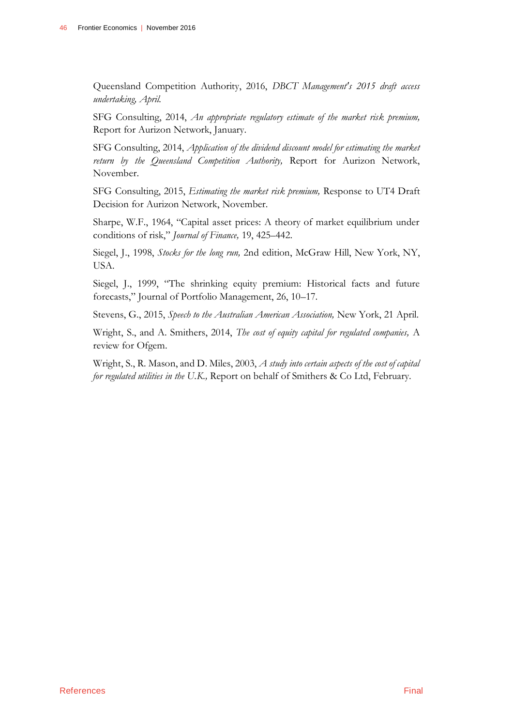Queensland Competition Authority, 2016, *DBCT Management's 2015 draft access undertaking, April.*

SFG Consulting, 2014, *An appropriate regulatory estimate of the market risk premium,* Report for Aurizon Network, January.

SFG Consulting, 2014, *Application of the dividend discount model for estimating the market return by the Queensland Competition Authority,* Report for Aurizon Network, November.

SFG Consulting, 2015, *Estimating the market risk premium,* Response to UT4 Draft Decision for Aurizon Network, November.

Sharpe, W.F., 1964, "Capital asset prices: A theory of market equilibrium under conditions of risk," *Journal of Finance,* 19, 425–442.

Siegel, J., 1998, *Stocks for the long run,* 2nd edition, McGraw Hill, New York, NY, USA.

Siegel, J., 1999, "The shrinking equity premium: Historical facts and future forecasts," Journal of Portfolio Management, 26, 10–17.

Stevens, G., 2015, *Speech to the Australian American Association,* New York, 21 April.

Wright, S., and A. Smithers, 2014, *The cost of equity capital for regulated companies,* A review for Ofgem.

Wright, S., R. Mason, and D. Miles, 2003, *A study into certain aspects of the cost of capital for regulated utilities in the U.K.,* Report on behalf of Smithers & Co Ltd, February.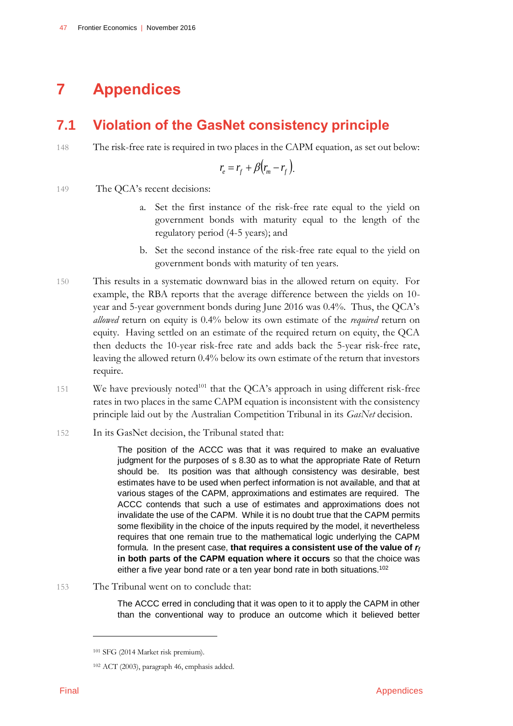# <span id="page-50-0"></span>**7 Appendices**

# <span id="page-50-1"></span>**7.1 Violation of the GasNet consistency principle**

148 The risk-free rate is required in two places in the CAPM equation, as set out below:

$$
r_e = r_f + \beta (r_m - r_f).
$$

149 The QCA's recent decisions:

- a. Set the first instance of the risk-free rate equal to the yield on government bonds with maturity equal to the length of the regulatory period (4-5 years); and
- b. Set the second instance of the risk-free rate equal to the yield on government bonds with maturity of ten years.
- 150 This results in a systematic downward bias in the allowed return on equity. For example, the RBA reports that the average difference between the yields on 10 year and 5-year government bonds during June 2016 was 0.4%. Thus, the QCA's *allowed* return on equity is 0.4% below its own estimate of the *required* return on equity. Having settled on an estimate of the required return on equity, the QCA then deducts the 10-year risk-free rate and adds back the 5-year risk-free rate, leaving the allowed return 0.4% below its own estimate of the return that investors require.
- 151 We have previously noted $101$  that the QCA's approach in using different risk-free rates in two places in the same CAPM equation is inconsistent with the consistency principle laid out by the Australian Competition Tribunal in its *GasNet* decision.
- 152 In its GasNet decision, the Tribunal stated that:

The position of the ACCC was that it was required to make an evaluative judgment for the purposes of s 8.30 as to what the appropriate Rate of Return should be. Its position was that although consistency was desirable, best estimates have to be used when perfect information is not available, and that at various stages of the CAPM, approximations and estimates are required. The ACCC contends that such a use of estimates and approximations does not invalidate the use of the CAPM. While it is no doubt true that the CAPM permits some flexibility in the choice of the inputs required by the model, it nevertheless requires that one remain true to the mathematical logic underlying the CAPM formula. In the present case, **that requires a consistent use of the value of** *r<sup>f</sup>* **in both parts of the CAPM equation where it occurs** so that the choice was either a five year bond rate or a ten year bond rate in both situations.<sup>102</sup>

153 The Tribunal went on to conclude that:

The ACCC erred in concluding that it was open to it to apply the CAPM in other than the conventional way to produce an outcome which it believed better

<sup>101</sup> SFG (2014 Market risk premium).

<sup>102</sup> ACT (2003), paragraph 46, emphasis added.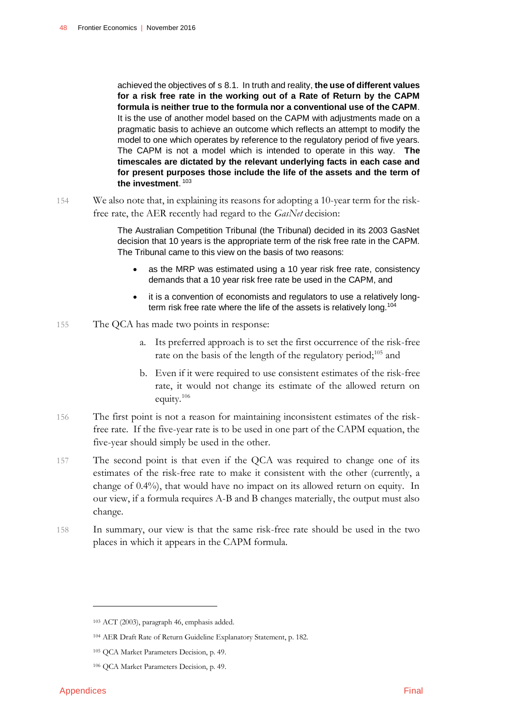achieved the objectives of s 8.1. In truth and reality, **the use of different values for a risk free rate in the working out of a Rate of Return by the CAPM formula is neither true to the formula nor a conventional use of the CAPM**. It is the use of another model based on the CAPM with adjustments made on a pragmatic basis to achieve an outcome which reflects an attempt to modify the model to one which operates by reference to the regulatory period of five years. The CAPM is not a model which is intended to operate in this way. **The timescales are dictated by the relevant underlying facts in each case and for present purposes those include the life of the assets and the term of the investment**. 103

154 We also note that, in explaining its reasons for adopting a 10-year term for the riskfree rate, the AER recently had regard to the *GasNet* decision:

> The Australian Competition Tribunal (the Tribunal) decided in its 2003 GasNet decision that 10 years is the appropriate term of the risk free rate in the CAPM. The Tribunal came to this view on the basis of two reasons:

- as the MRP was estimated using a 10 year risk free rate, consistency demands that a 10 year risk free rate be used in the CAPM, and
- it is a convention of economists and regulators to use a relatively longterm risk free rate where the life of the assets is relatively long.<sup>104</sup>
- 155 The QCA has made two points in response:
	- a. Its preferred approach is to set the first occurrence of the risk-free rate on the basis of the length of the regulatory period;<sup>105</sup> and
	- b. Even if it were required to use consistent estimates of the risk-free rate, it would not change its estimate of the allowed return on equity.<sup>106</sup>
- 156 The first point is not a reason for maintaining inconsistent estimates of the riskfree rate. If the five-year rate is to be used in one part of the CAPM equation, the five-year should simply be used in the other.
- 157 The second point is that even if the QCA was required to change one of its estimates of the risk-free rate to make it consistent with the other (currently, a change of 0.4%), that would have no impact on its allowed return on equity. In our view, if a formula requires A-B and B changes materially, the output must also change.
- 158 In summary, our view is that the same risk-free rate should be used in the two places in which it appears in the CAPM formula.

<sup>103</sup> ACT (2003), paragraph 46, emphasis added.

<sup>104</sup> AER Draft Rate of Return Guideline Explanatory Statement, p. 182.

<sup>105</sup> QCA Market Parameters Decision, p. 49.

<sup>106</sup> QCA Market Parameters Decision, p. 49.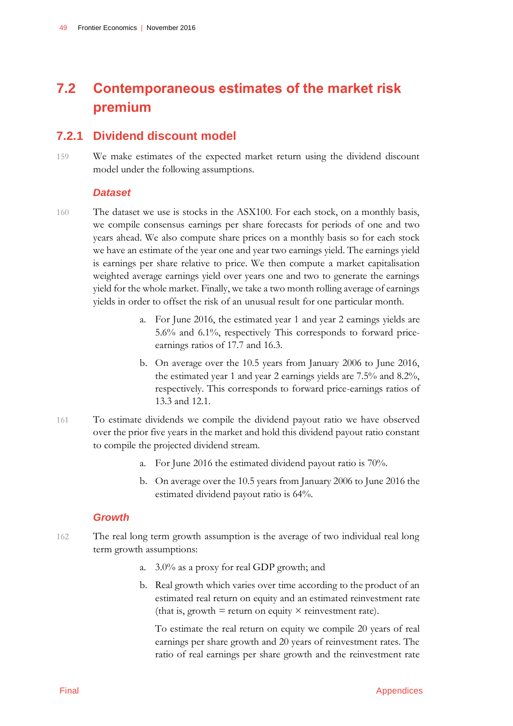# <span id="page-52-0"></span>**7.2 Contemporaneous estimates of the market risk premium**

## **7.2.1 Dividend discount model**

159 We make estimates of the expected market return using the dividend discount model under the following assumptions.

### *Dataset*

- 160 The dataset we use is stocks in the ASX100. For each stock, on a monthly basis, we compile consensus earnings per share forecasts for periods of one and two years ahead. We also compute share prices on a monthly basis so for each stock we have an estimate of the year one and year two earnings yield. The earnings yield is earnings per share relative to price. We then compute a market capitalisation weighted average earnings yield over years one and two to generate the earnings yield for the whole market. Finally, we take a two month rolling average of earnings yields in order to offset the risk of an unusual result for one particular month.
	- a. For June 2016, the estimated year 1 and year 2 earnings yields are 5.6% and 6.1%, respectively This corresponds to forward priceearnings ratios of 17.7 and 16.3.
	- b. On average over the 10.5 years from January 2006 to June 2016, the estimated year 1 and year 2 earnings yields are 7.5% and 8.2%, respectively. This corresponds to forward price-earnings ratios of 13.3 and 12.1.
- 161 To estimate dividends we compile the dividend payout ratio we have observed over the prior five years in the market and hold this dividend payout ratio constant to compile the projected dividend stream.
	- a. For June 2016 the estimated dividend payout ratio is 70%.
	- b. On average over the 10.5 years from January 2006 to June 2016 the estimated dividend payout ratio is 64%.

### *Growth*

- 162 The real long term growth assumption is the average of two individual real long term growth assumptions:
	- a. 3.0% as a proxy for real GDP growth; and
	- b. Real growth which varies over time according to the product of an estimated real return on equity and an estimated reinvestment rate (that is, growth  $=$  return on equity  $\times$  reinvestment rate).

To estimate the real return on equity we compile 20 years of real earnings per share growth and 20 years of reinvestment rates. The ratio of real earnings per share growth and the reinvestment rate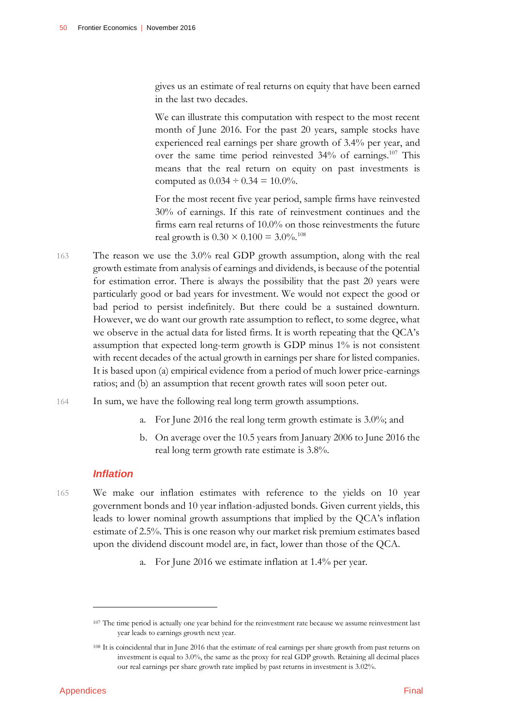gives us an estimate of real returns on equity that have been earned in the last two decades.

We can illustrate this computation with respect to the most recent month of June 2016. For the past 20 years, sample stocks have experienced real earnings per share growth of 3.4% per year, and over the same time period reinvested 34% of earnings.<sup>107</sup> This means that the real return on equity on past investments is computed as  $0.034 \div 0.34 = 10.0\%$ .

For the most recent five year period, sample firms have reinvested 30% of earnings. If this rate of reinvestment continues and the firms earn real returns of 10.0% on those reinvestments the future real growth is  $0.30 \times 0.100 = 3.0\%$ .<sup>108</sup>

- 163 The reason we use the 3.0% real GDP growth assumption, along with the real growth estimate from analysis of earnings and dividends, is because of the potential for estimation error. There is always the possibility that the past 20 years were particularly good or bad years for investment. We would not expect the good or bad period to persist indefinitely. But there could be a sustained downturn. However, we do want our growth rate assumption to reflect, to some degree, what we observe in the actual data for listed firms. It is worth repeating that the QCA's assumption that expected long-term growth is GDP minus 1% is not consistent with recent decades of the actual growth in earnings per share for listed companies. It is based upon (a) empirical evidence from a period of much lower price-earnings ratios; and (b) an assumption that recent growth rates will soon peter out.
- 164 In sum, we have the following real long term growth assumptions.
	- a. For June 2016 the real long term growth estimate is 3.0%; and
	- b. On average over the 10.5 years from January 2006 to June 2016 the real long term growth rate estimate is 3.8%.

#### *Inflation*

- 165 We make our inflation estimates with reference to the yields on 10 year government bonds and 10 year inflation-adjusted bonds. Given current yields, this leads to lower nominal growth assumptions that implied by the QCA's inflation estimate of 2.5%. This is one reason why our market risk premium estimates based upon the dividend discount model are, in fact, lower than those of the QCA.
	- a. For June 2016 we estimate inflation at 1.4% per year.

-

<sup>&</sup>lt;sup>107</sup> The time period is actually one year behind for the reinvestment rate because we assume reinvestment last year leads to earnings growth next year.

<sup>108</sup> It is coincidental that in June 2016 that the estimate of real earnings per share growth from past returns on investment is equal to 3.0%, the same as the proxy for real GDP growth. Retaining all decimal places our real earnings per share growth rate implied by past returns in investment is 3.02%.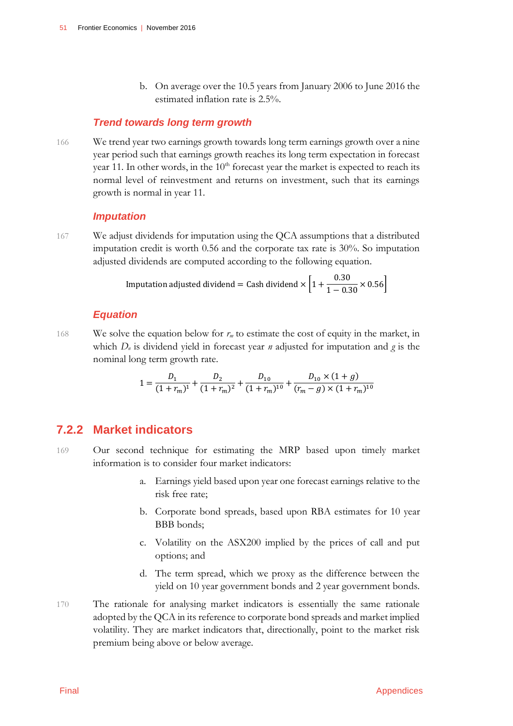b. On average over the 10.5 years from January 2006 to June 2016 the estimated inflation rate is 2.5%.

#### *Trend towards long term growth*

166 We trend year two earnings growth towards long term earnings growth over a nine year period such that earnings growth reaches its long term expectation in forecast year 11. In other words, in the  $10<sup>th</sup>$  forecast year the market is expected to reach its normal level of reinvestment and returns on investment, such that its earnings growth is normal in year 11.

#### *Imputation*

167 We adjust dividends for imputation using the QCA assumptions that a distributed imputation credit is worth 0.56 and the corporate tax rate is 30%. So imputation adjusted dividends are computed according to the following equation.

Imputation adjusted dividend = Cash dividend × 
$$
\left[1 + \frac{0.30}{1 - 0.30} \times 0.56\right]
$$

#### *Equation*

168 We solve the equation below for  $r<sub>m</sub>$  to estimate the cost of equity in the market, in which *D<sup>n</sup>* is dividend yield in forecast year *n* adjusted for imputation and *g* is the nominal long term growth rate.

$$
1 = \frac{D_1}{(1+r_m)^1} + \frac{D_2}{(1+r_m)^2} + \frac{D_{10}}{(1+r_m)^{10}} + \frac{D_{10} \times (1+g)}{(r_m-g) \times (1+r_m)^{10}}
$$

### **7.2.2 Market indicators**

- 169 Our second technique for estimating the MRP based upon timely market information is to consider four market indicators:
	- a. Earnings yield based upon year one forecast earnings relative to the risk free rate;
	- b. Corporate bond spreads, based upon RBA estimates for 10 year BBB bonds;
	- c. Volatility on the ASX200 implied by the prices of call and put options; and
	- d. The term spread, which we proxy as the difference between the yield on 10 year government bonds and 2 year government bonds.
- 170 The rationale for analysing market indicators is essentially the same rationale adopted by the QCA in its reference to corporate bond spreads and market implied volatility. They are market indicators that, directionally, point to the market risk premium being above or below average.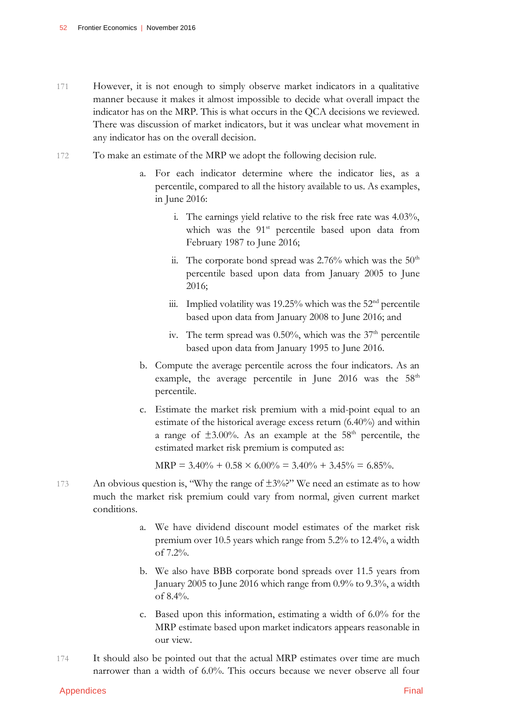- 171 However, it is not enough to simply observe market indicators in a qualitative manner because it makes it almost impossible to decide what overall impact the indicator has on the MRP. This is what occurs in the QCA decisions we reviewed. There was discussion of market indicators, but it was unclear what movement in any indicator has on the overall decision.
- 172 To make an estimate of the MRP we adopt the following decision rule.
	- a. For each indicator determine where the indicator lies, as a percentile, compared to all the history available to us. As examples, in June 2016:
		- i. The earnings yield relative to the risk free rate was 4.03%, which was the 91<sup>st</sup> percentile based upon data from February 1987 to June 2016;
		- ii. The corporate bond spread was  $2.76\%$  which was the  $50<sup>th</sup>$ percentile based upon data from January 2005 to June 2016;
		- iii. Implied volatility was 19.25% which was the  $52<sup>nd</sup>$  percentile based upon data from January 2008 to June 2016; and
		- iv. The term spread was  $0.50\%$ , which was the  $37<sup>th</sup>$  percentile based upon data from January 1995 to June 2016.
	- b. Compute the average percentile across the four indicators. As an example, the average percentile in June 2016 was the  $58<sup>th</sup>$ percentile.
	- c. Estimate the market risk premium with a mid-point equal to an estimate of the historical average excess return (6.40%) and within a range of  $\pm 3.00\%$ . As an example at the 58<sup>th</sup> percentile, the estimated market risk premium is computed as:

 $MRP = 3.40\% + 0.58 \times 6.00\% = 3.40\% + 3.45\% = 6.85\%.$ 

- 173 An obvious question is, "Why the range of  $\pm 3\%$ ?" We need an estimate as to how much the market risk premium could vary from normal, given current market conditions.
	- a. We have dividend discount model estimates of the market risk premium over 10.5 years which range from 5.2% to 12.4%, a width of 7.2%.
	- b. We also have BBB corporate bond spreads over 11.5 years from January 2005 to June 2016 which range from 0.9% to 9.3%, a width of 8.4%.
	- c. Based upon this information, estimating a width of 6.0% for the MRP estimate based upon market indicators appears reasonable in our view.
- 174 It should also be pointed out that the actual MRP estimates over time are much narrower than a width of 6.0%. This occurs because we never observe all four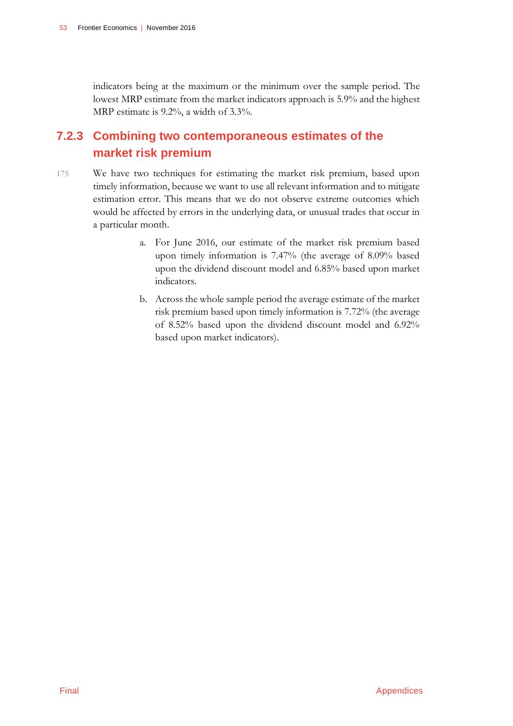indicators being at the maximum or the minimum over the sample period. The lowest MRP estimate from the market indicators approach is 5.9% and the highest MRP estimate is 9.2%, a width of 3.3%.

## **7.2.3 Combining two contemporaneous estimates of the market risk premium**

- 175 We have two techniques for estimating the market risk premium, based upon timely information, because we want to use all relevant information and to mitigate estimation error. This means that we do not observe extreme outcomes which would be affected by errors in the underlying data, or unusual trades that occur in a particular month.
	- a. For June 2016, our estimate of the market risk premium based upon timely information is 7.47% (the average of 8.09% based upon the dividend discount model and 6.85% based upon market indicators.
	- b. Across the whole sample period the average estimate of the market risk premium based upon timely information is 7.72% (the average of 8.52% based upon the dividend discount model and 6.92% based upon market indicators).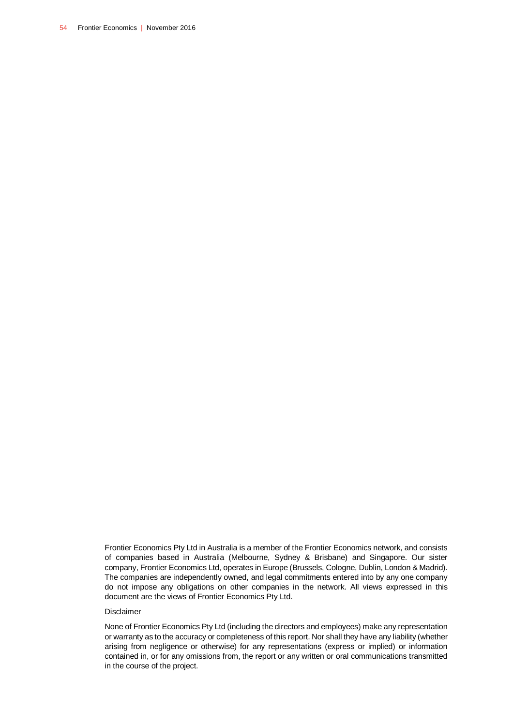Frontier Economics Pty Ltd in Australia is a member of the Frontier Economics network, and consists of companies based in Australia (Melbourne, Sydney & Brisbane) and Singapore. Our sister company, Frontier Economics Ltd, operates in Europe (Brussels, Cologne, Dublin, London & Madrid). The companies are independently owned, and legal commitments entered into by any one company do not impose any obligations on other companies in the network. All views expressed in this document are the views of Frontier Economics Pty Ltd.

#### Disclaimer

None of Frontier Economics Pty Ltd (including the directors and employees) make any representation or warranty as to the accuracy or completeness of this report. Nor shall they have any liability (whether arising from negligence or otherwise) for any representations (express or implied) or information contained in, or for any omissions from, the report or any written or oral communications transmitted in the course of the project.